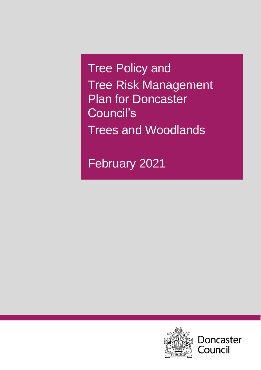February 2021



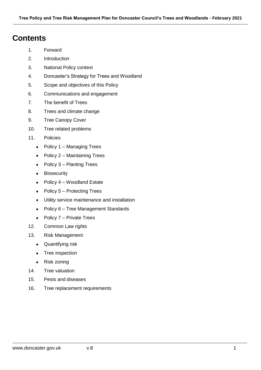## **Contents**

- 1. Forward
- 2. Introduction
- 3. National Policy context
- 4. Doncaster's Strategy for Trees and Woodland
- 5. Scope and objectives of this Policy
- 6. Communications and engagement
- 7. The benefit of Trees
- 8. Trees and climate change
- 9. Tree Canopy Cover
- 10. Tree related problems
- 11. Policies
	- Policy 1 Managing Trees
	- Policy  $2 -$  Maintaining Trees
	- $\bullet$  Policy 3 Planting Trees
	- Biosecurity
	- Policy 4 Woodland Estate
	- $\bullet$  Policy 5 Protecting Trees
	- Utility service maintenance and installation
	- Policy 6 Tree Management Standards
	- $\bullet$  Policy  $7$  Private Trees
- 12. Common Law rights
- 13. Risk Management
	- Quantifying risk
	- Tree inspection
	- Risk zoning
- 14. Tree valuation
- 15. Pests and diseases
- 16. Tree replacement requirements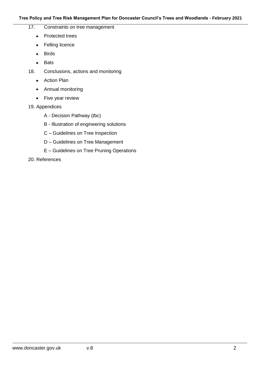- 17. Constraints on tree management
	- Protected trees
	- Felling licence
	- Birds
	- Bats
- 18. Conclusions, actions and monitoring
	- Action Plan
	- Annual monitoring
	- Five year review
- 19. Appendices
	- A Decision Pathway (tbc)
	- B Illustration of engineering solutions
	- C Guidelines on Tree Inspection
	- D Guidelines on Tree Management
	- E Guidelines on Tree Pruning Operations
- 20. References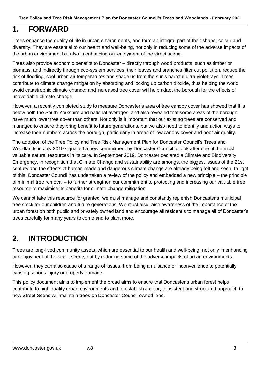## **1. FORWARD**

Trees enhance the quality of life in urban environments, and form an integral part of their shape, colour and diversity. They are essential to our health and well-being, not only in reducing some of the adverse impacts of the urban environment but also in enhancing our enjoyment of the street scene.

Trees also provide economic benefits to Doncaster – directly through wood products, such as timber or biomass, and indirectly through eco-system services; their leaves and branches filter out pollution, reduce the risk of flooding, cool urban air temperatures and shade us from the sun's harmful ultra-violet rays. Trees contribute to climate change mitigation by absorbing and locking up carbon dioxide, thus helping the world avoid catastrophic climate change; and increased tree cover will help adapt the borough for the effects of unavoidable climate change.

However, a recently completed study to measure Doncaster's area of tree canopy cover has showed that it is below both the South Yorkshire and national averages, and also revealed that some areas of the borough have much lower tree cover than others. Not only is it important that our existing trees are conserved and managed to ensure they bring benefit to future generations, but we also need to identify and action ways to increase their numbers across the borough, particularly in areas of low canopy cover and poor air quality.

The adoption of the Tree Policy and Tree Risk Management Plan for Doncaster Council's Trees and Woodlands in July 2019 signalled a new commitment by Doncaster Council to look after one of the most valuable natural resources in its care. In September 2019, Doncaster declared a Climate and Biodiversity Emergency, in recognition that Climate Change and sustainability are amongst the biggest issues of the 21st century and the effects of human-made and dangerous climate change are already being felt and seen. In light of this, Doncaster Council has undertaken a review of the policy and embedded a new principle – the principle of minimal tree removal – to further strengthen our commitment to protecting and increasing our valuable tree resource to maximise its benefits for climate change mitigation.

We cannot take this resource for granted: we must manage and constantly replenish Doncaster's municipal tree stock for our children and future generations. We must also raise awareness of the importance of the urban forest on both public and privately owned land and encourage all resident's to manage all of Doncaster's trees carefully for many years to come and to plant more.

## **2. INTRODUCTION**

Trees are long-lived community assets, which are essential to our health and well-being, not only in enhancing our enjoyment of the street scene, but by reducing some of the adverse impacts of urban environments.

However, they can also cause of a range of issues, from being a nuisance or inconvenience to potentially causing serious injury or property damage.

This policy document aims to implement the broad aims to ensure that Doncaster's urban forest helps contribute to high quality urban environments and to establish a clear, consistent and structured approach to how Street Scene will maintain trees on Doncaster Council owned land.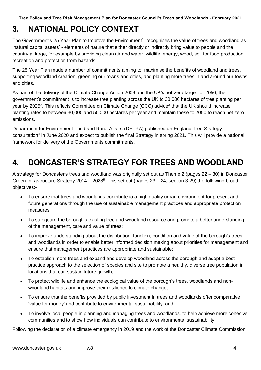## **3. NATIONAL POLICY CONTEXT**

The Government's 25 Year Plan to Improve the Environment<sup>1</sup> recognises the value of trees and woodland as 'natural capital assets' - elements of nature that either directly or indirectly bring value to people and the country at large, for example by providing clean air and water, wildlife, energy, wood, soil for food production, recreation and protection from hazards.

The 25 Year Plan made a number of commitments aiming to maximise the benefits of woodland and trees, supporting woodland creation, greening our towns and cities, and planting more trees in and around our towns and cities.

As part of the delivery of the Climate Change Action 2008 and the UK's net-zero target for 2050, the government's commitment is to increase tree planting across the UK to 30,000 hectares of tree planting per year by 2025<sup>2</sup>. This reflects Committee on Climate Change (CCC) advice<sup>3</sup> that the UK should increase planting rates to between 30,000 and 50,000 hectares per year and maintain these to 2050 to reach net zero emissions.

Department for Environment Food and Rural Affairs (DEFRA) published an England Tree Strategy consultation<sup>4</sup> in June 2020 and expect to publish the final Strategy in spring 2021. This will provide a national framework for delivery of the Governments commitments.

## **4. DONCASTER'S STRATEGY FOR TREES AND WOODLAND**

A strategy for Doncaster's trees and woodland was originally set out as Theme 2 (pages 22 – 30) in Doncaster Green Infrastructure Strategy 2014 – 2028<sup>5</sup>. This set out (pages 23 – 24, section 3.29) the following broad objectives:-

- To ensure that trees and woodlands contribute to a high quality urban environment for present and future generations through the use of sustainable management practices and appropriate protection measures;
- To safeguard the borough's existing tree and woodland resource and promote a better understanding of the management, care and value of trees;
- To improve understanding about the distribution, function, condition and value of the borough's trees and woodlands in order to enable better informed decision making about priorities for management and ensure that management practices are appropriate and sustainable;
- To establish more trees and expand and develop woodland across the borough and adopt a best practice approach to the selection of species and site to promote a healthy, diverse tree population in locations that can sustain future growth;
- To protect wildlife and enhance the ecological value of the borough's trees, woodlands and nonwoodland habitats and improve their resilience to climate change;
- To ensure that the benefits provided by public investment in trees and woodlands offer comparative 'value for money' and contribute to environmental sustainability; and,
- To involve local people in planning and managing trees and woodlands, to help achieve more cohesive communities and to show how individuals can contribute to environmental sustainability.

Following the declaration of a climate emergency in 2019 and the work of the Doncaster Climate Commission,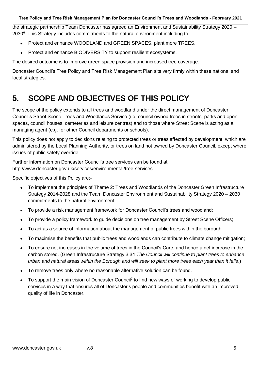the strategic partnership Team Doncaster has agreed an Environment and Sustainability Strategy 2020 – 2030<sup>6</sup>. This Strategy includes commitments to the natural environment including to

- Protect and enhance WOODLAND and GREEN SPACES, plant more TREES.
- Protect and enhance BIODIVERSITY to support resilient ecosystems.

The desired outcome is to Improve green space provision and increased tree coverage.

Doncaster Council's Tree Policy and Tree Risk Management Plan sits very firmly within these national and local strategies.

## **5. SCOPE AND OBJECTIVES OF THIS POLICY**

The scope of the policy extends to all trees and woodland under the direct management of Doncaster Council's Street Scene Trees and Woodlands Service (i.e. council owned trees in streets, parks and open spaces, council houses, cemeteries and leisure centres) and to those where Street Scene is acting as a managing agent (e.g. for other Council departments or schools).

This policy does not apply to decisions relating to protected trees or trees affected by development, which are administered by the Local Planning Authority, or trees on land not owned by Doncaster Council, except where issues of public safety override.

Further information on Doncaster Council's tree services can be found at http://www.doncaster.gov.uk/services/environmental/tree-services

Specific objectives of this Policy are:-

- To implement the principles of Theme 2: Trees and Woodlands of the Doncaster Green Infrastructure Strategy 2014-2028 and the Team Doncaster Environment and Sustainability Strategy 2020 – 2030 commitments to the natural environment;
- To provide a risk management framework for Doncaster Council's trees and woodland;
- To provide a policy framework to quide decisions on tree management by Street Scene Officers;
- To act as a source of information about the management of public trees within the borough;
- To maximise the benefits that public trees and woodlands can contribute to climate change mitigation;
- To ensure net increases in the volume of trees in the Council's Care, and hence a net increase in the carbon stored. (Green Infrastructure Strategy 3.34 *The Council will continue to plant trees to enhance urban and natural areas within the Borough and will seek to plant more trees each year than it fells*.)
- To remove trees only where no reasonable alternative solution can be found.
- To support the main vision of Doncaster Council<sup>7</sup> to find new ways of working to develop public services in a way that ensures all of Doncaster's people and communities benefit with an improved quality of life in Doncaster.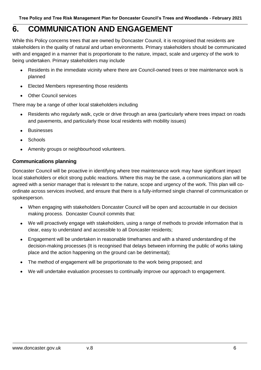## **6. COMMUNICATION AND ENGAGEMENT**

While this Policy concerns trees that are owned by Doncaster Council, it is recognised that residents are stakeholders in the quality of natural and urban environments. Primary stakeholders should be communicated with and engaged in a manner that is proportionate to the nature, impact, scale and urgency of the work to being undertaken. Primary stakeholders may include

- Residents in the immediate vicinity where there are Council-owned trees or tree maintenance work is planned
- Elected Members representing those residents
- Other Council services

There may be a range of other local stakeholders including

- Residents who regularly walk, cycle or drive through an area (particularly where trees impact on roads and pavements, and particularly those local residents with mobility issues)
- Businesses
- **Schools**
- Amenity groups or neighbourhood volunteers.

## **Communications planning**

Doncaster Council will be proactive in identifying where tree maintenance work may have significant impact local stakeholders or elicit strong public reactions. Where this may be the case, a communications plan will be agreed with a senior manager that is relevant to the nature, scope and urgency of the work. This plan will coordinate across services involved, and ensure that there is a fully-informed single channel of communication or spokesperson.

- When engaging with stakeholders Doncaster Council will be open and accountable in our decision making process. Doncaster Council commits that:
- We will proactively engage with stakeholders, using a range of methods to provide information that is clear, easy to understand and accessible to all Doncaster residents;
- Engagement will be undertaken in reasonable timeframes and with a shared understanding of the decision-making processes (It is recognised that delays between informing the public of works taking place and the action happening on the ground can be detrimental);
- The method of engagement will be proportionate to the work being proposed; and
- We will undertake evaluation processes to continually improve our approach to engagement.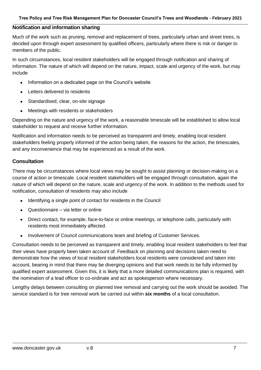#### **Notification and information sharing**

Much of the work such as pruning, removal and replacement of trees, particularly urban and street trees, is decided upon through expert assessment by qualified officers, particularly where there is risk or danger to members of the public.

In such circumstances, local resident stakeholders will be engaged through notification and sharing of information. The nature of which will depend on the nature, impact, scale and urgency of the work, but may include

- Information on a dedicated page on the Council's website
- Letters delivered to residents
- Standardised, clear, on-site signage
- Meetings with residents or stakeholders

Depending on the nature and urgency of the work, a reasonable timescale will be established to allow local stakeholder to request and receive further information.

Notification and information needs to be perceived as transparent and timely, enabling local resident stakeholders feeling properly informed of the action being taken, the reasons for the action, the timescales, and any inconvenience that may be experienced as a result of the work.

#### **Consultation**

There may be circumstances where local views may be sought to assist planning or decision-making on a course of action or timescale. Local resident stakeholders will be engaged through consultation, again the nature of which will depend on the nature, scale and urgency of the work. In addition to the methods used for notification, consultation of residents may also include

- Identifying a single point of contact for residents in the Council
- Questionnaire via letter or online
- Direct contact, for example, face-to-face or online meetings, or telephone calls, particularly with residents most immediately affected.
- Involvement of Council communications team and briefing of Customer Services.

Consultation needs to be perceived as transparent and timely, enabling local resident stakeholders to feel that their views have properly been taken account of. Feedback on planning and decisions taken need to demonstrate how the views of local resident stakeholders local residents were considered and taken into account, bearing in mind that there may be diverging opinions and that work needs to be fully informed by qualified expert assessment. Given this, it is likely that a more detailed communications plan is required, with the nomination of a lead officer to co-ordinate and act as spokesperson where necessary.

Lengthy delays between consulting on planned tree removal and carrying out the work should be avoided. The service standard is for tree removal work be carried out within **six months** of a local consultation.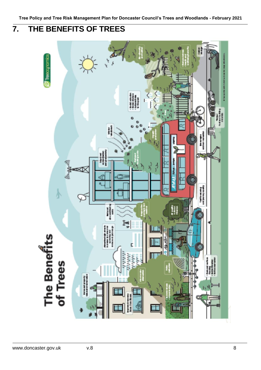# **7. THE BENEFITS OF TREES**

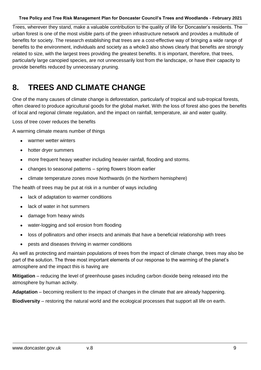Trees, wherever they stand, make a valuable contribution to the quality of life for Doncaster's residents. The urban forest is one of the most visible parts of the green infrastructure network and provides a multitude of benefits for society. The research establishing that trees are a cost-effective way of bringing a wide range of benefits to the environment, individuals and society as a whole3 also shows clearly that benefits are strongly related to size, with the largest trees providing the greatest benefits. It is important, therefore, that trees, particularly large canopied species, are not unnecessarily lost from the landscape, or have their capacity to provide benefits reduced by unnecessary pruning.

## **8. TREES AND CLIMATE CHANGE**

One of the many causes of climate change is deforestation, particularly of tropical and sub-tropical forests, often cleared to produce agricultural goods for the global market. With the loss of forest also goes the benefits of local and regional climate regulation, and the impact on rainfall, temperature, air and water quality.

Loss of tree cover reduces the benefits

A warming climate means number of things

- warmer wetter winters
- hotter dryer summers
- more frequent heavy weather including heavier rainfall, flooding and storms.
- changes to seasonal patterns spring flowers bloom earlier
- climate temperature zones move Northwards (in the Northern hemisphere)

The health of trees may be put at risk in a number of ways including

- lack of adaptation to warmer conditions
- lack of water in hot summers
- damage from heavy winds
- water-logging and soil erosion from flooding
- loss of pollinators and other insects and animals that have a beneficial relationship with trees
- pests and diseases thriving in warmer conditions

As well as protecting and maintain populations of trees from the impact of climate change, trees may also be part of the solution. The three most important elements of our response to the warming of the planet's atmosphere and the impact this is having are

**Mitigation** – reducing the level of greenhouse gases including carbon dioxide being released into the atmosphere by human activity.

**Adaptation** – becoming resilient to the impact of changes in the climate that are already happening.

**Biodiversity** – restoring the natural world and the ecological processes that support all life on earth.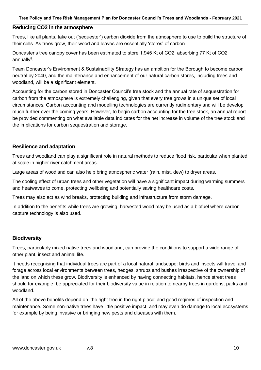#### **Reducing CO2 in the atmosphere**

Trees, like all plants, take out ('sequester') carbon dioxide from the atmosphere to use to build the structure of their cells. As trees grow, their wood and leaves are essentially 'stores' of carbon.

Doncaster's tree canopy cover has been estimated to store 1,945 Kt of CO2, absorbing 77 Kt of CO2 annually<sup>8</sup>.

Team Doncaster's Environment & Sustainability Strategy has an ambition for the Borough to become carbon neutral by 2040, and the maintenance and enhancement of our natural carbon stores, including trees and woodland, will be a significant element.

Accounting for the carbon stored in Doncaster Council's tree stock and the annual rate of sequestration for carbon from the atmosphere is extremely challenging, given that every tree grows in a unique set of local circumstances. Carbon accounting and modelling technologies are currently rudimentary and will be develop much further over the coming years. However, to begin carbon accounting for the tree stock, an annual report be provided commenting on what available data indicates for the net increase in volume of the tree stock and the implications for carbon sequestration and storage.

#### **Resilience and adaptation**

Trees and woodland can play a significant role in natural methods to reduce flood risk, particular when planted at scale in higher river catchment areas.

Large areas of woodland can also help bring atmospheric water (rain, mist, dew) to dryer areas.

The cooling effect of urban trees and other vegetation will have a significant impact during warming summers and heatwaves to come, protecting wellbeing and potentially saving healthcare costs.

Trees may also act as wind breaks, protecting building and infrastructure from storm damage.

In addition to the benefits while trees are growing, harvested wood may be used as a biofuel where carbon capture technology is also used.

#### **Biodiversity**

Trees, particularly mixed native trees and woodland, can provide the conditions to support a wide range of other plant, insect and animal life.

It needs recognising that individual trees are part of a local natural landscape: birds and insects will travel and forage across local environments between trees, hedges, shrubs and bushes irrespective of the ownership of the land on which these grow. Biodiversity is enhanced by having connecting habitats, hence street trees should for example, be appreciated for their biodiversity value in relation to nearby trees in gardens, parks and woodland.

All of the above benefits depend on 'the right tree in the right place' and good regimes of inspection and maintenance. Some non-native trees have little positive impact, and may even do damage to local ecosystems for example by being invasive or bringing new pests and diseases with them.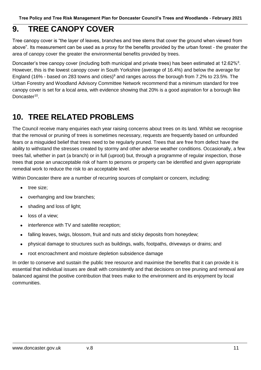## **9. TREE CANOPY COVER**

Tree canopy cover is "the layer of leaves, branches and tree stems that cover the ground when viewed from above". Its measurement can be used as a proxy for the benefits provided by the urban forest - the greater the area of canopy cover the greater the environmental benefits provided by trees.

Doncaster's tree canopy cover (including both municipal and private trees) has been estimated at 12.62%<sup>8</sup>. However, this is the lowest canopy cover in South Yorkshire (average of 16.4%) and below the average for England (16% - based on 283 towns and cities)<sup>9</sup> and ranges across the borough from 7.2% to 23.5%. The Urban Forestry and Woodland Advisory Committee Network recommend that a minimum standard for tree canopy cover is set for a local area, with evidence showing that 20% is a good aspiration for a borough like Doncaster<sup>10</sup>.

## **10. TREE RELATED PROBLEMS**

The Council receive many enquiries each year raising concerns about trees on its land. Whilst we recognise that the removal or pruning of trees is sometimes necessary, requests are frequently based on unfounded fears or a misguided belief that trees need to be regularly pruned. Trees that are free from defect have the ability to withstand the stresses created by stormy and other adverse weather conditions. Occasionally, a few trees fail, whether in part (a branch) or in full (uproot) but, through a programme of regular inspection, those trees that pose an unacceptable risk of harm to persons or property can be identified and given appropriate remedial work to reduce the risk to an acceptable level.

Within Doncaster there are a number of recurring sources of complaint or concern, including:

- tree size:
- overhanging and low branches;
- shading and loss of light;
- loss of a view:
- interference with TV and satellite reception;
- falling leaves, twigs, blossom, fruit and nuts and sticky deposits from honeydew;
- physical damage to structures such as buildings, walls, footpaths, driveways or drains; and
- root encroachment and moisture depletion subsidence damage

In order to conserve and sustain the public tree resource and maximise the benefits that it can provide it is essential that individual issues are dealt with consistently and that decisions on tree pruning and removal are balanced against the positive contribution that trees make to the environment and its enjoyment by local communities.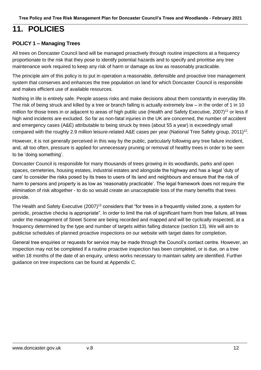## **11. POLICIES**

### **POLICY 1 – Managing Trees**

All trees on Doncaster Council land will be managed proactively through routine inspections at a frequency proportionate to the risk that they pose to identify potential hazards and to specify and prioritise any tree maintenance work required to keep any risk of harm or damage as low as reasonably practicable.

The principle aim of this policy is to put in operation a reasonable, defensible and proactive tree management system that conserves and enhances the tree population on land for which Doncaster Council is responsible and makes efficient use of available resources.

Nothing in life is entirely safe. People assess risks and make decisions about them constantly in everyday life. The risk of being struck and killed by a tree or branch falling is actually extremely low – in the order of 1 in 10 million for those trees in or adjacent to areas of high public use (Health and Safety Executive, 2007)<sup>11</sup> or less if high wind incidents are excluded. So far as non-fatal injuries in the UK are concerned, the number of accident and emergency cases (A&E) attributable to being struck by trees (about 55 a year) is exceedingly small compared with the roughly 2.9 million leisure-related A&E cases per year (National Tree Safety group, 2011)<sup>12</sup>.

However, it is not generally perceived in this way by the public, particularly following any tree failure incident, and, all too often, pressure is applied for unnecessary pruning or removal of healthy trees in order to be seen to be 'doing something'.

Doncaster Council is responsible for many thousands of trees growing in its woodlands, parks and open spaces, cemeteries, housing estates, industrial estates and alongside the highway and has a legal 'duty of care' to consider the risks posed by its trees to users of its land and neighbours and ensure that the risk of harm to persons and property is as low as 'reasonably practicable'. The legal framework does not require the elimination of risk altogether - to do so would create an unacceptable loss of the many benefits that trees provide.

The Health and Safety Executive (2007)<sup>13</sup> considers that "for trees in a frequently visited zone, a system for periodic, proactive checks is appropriate". In order to limit the risk of significant harm from tree failure, all trees under the management of Street Scene are being recorded and mapped and will be cyclically inspected, at a frequency determined by the type and number of targets within falling distance (section 13). We will aim to publicise schedules of planned proactive inspections on our website with target dates for completion.

General tree enquiries or requests for service may be made through the Council's contact centre. However, an inspection may not be completed if a routine proactive inspection has been completed, or is due, on a tree within 18 months of the date of an enquiry, unless works necessary to maintain safety are identified. Further guidance on tree inspections can be found at Appendix C.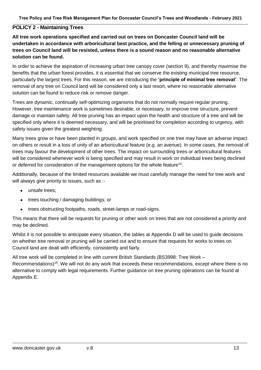### **POLICY 2 - Maintaining Trees**

**All tree work operations specified and carried out on trees on Doncaster Council land will be undertaken in accordance with arboricultural best practice, and the felling or unnecessary pruning of trees on Council land will be resisted, unless there is a sound reason and no reasonable alternative solution can be found.**

In order to achieve the aspiration of increasing urban tree canopy cover (section 9), and thereby maximise the benefits that the urban forest provides, it is essential that we conserve the existing municipal tree resource, particularly the largest trees. For this reason, we are introducing the **'principle of minimal tree removal'**. The removal of any tree on Council land will be considered only a last resort, where no reasonable alternative solution can be found to reduce risk or remove danger.

Trees are dynamic, continually self-optimizing organisms that do not normally require regular pruning. However, tree maintenance work is sometimes desirable, or necessary, to improve tree structure, prevent damage or maintain safety. All tree pruning has an impact upon the health and structure of a tree and will be specified only where it is deemed necessary, and will be prioritised for completion according to urgency, with safety issues given the greatest weighting.

Many trees grow or have been planted in groups, and work specified on one tree may have an adverse impact on others or result in a loss of unity of an arboricultural feature (e.g. an avenue). In some cases, the removal of trees may favour the development of other trees. The impact on surrounding trees or arboricultural features will be considered whenever work is being specified and may result in work on individual trees being declined or deferred for consideration of the management options for the whole feature<sup>14</sup>.

Additionally, because of the limited resources available we must carefully manage the need for tree work and will always give priority to issues, such as :-

- unsafe trees:
- trees touching / damaging buildings; or
- trees obstructing footpaths, roads, street-lamps or road-signs.

This means that there will be requests for pruning or other work on trees that are not considered a priority and may be declined.

Whilst it is not possible to anticipate every situation, the tables at Appendix D will be used to guide decisions on whether tree removal or pruning will be carried out and to ensure that requests for works to trees on Council land are dealt with efficiently, consistently and fairly.

All tree work will be completed in line with current British Standards (BS3998: Tree Work – Recommendations)<sup>15</sup>. We will not do any work that exceeds these recommendations, except where there is no alternative to comply with legal requirements. Further guidance on tree pruning operations can be found at Appendix E.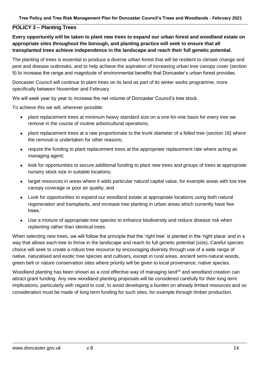### **POLICY 3 – Planting Trees**

**Every opportunity will be taken to plant new trees to expand our urban forest and woodland estate on appropriate sites throughout the borough, and planting practice will seek to ensure that all transplanted trees achieve independence in the landscape and reach their full genetic potential.**

The planting of trees is essential to produce a diverse urban forest that will be resilient to climate change and pest and disease outbreaks, and to help achieve the aspiration of increasing urban tree canopy cover (section 9) to increase the range and magnitude of environmental benefits that Doncaster's urban forest provides.

Doncaster Council will continue to plant trees on its land as part of its winter works programme, more specifically between November and February.

We will seek year by year to increase the net volume of Doncaster Council's tree stock.

To achieve this we will, wherever possible:

- plant replacement trees at minimum heavy standard size on a one-for-one basis for every tree we remove in the course of routine arboricultural operations;
- plant replacement trees at a rate proportionate to the trunk diameter of a felled tree (section 16) where the removal is undertaken for other reasons;
- require the funding to plant replacement trees at the appropriate replacement rate where acting as managing agent;
- look for opportunities to secure additional funding to plant new trees and groups of trees at appropriate nursery stock size in suitable locations;
- target resources in areas where it adds particular natural capital value, for example areas with low tree canopy coverage or poor air quality; and
- Look for opportunities to expand our woodland estate at appropriate locations using both natural regeneration and transplants, and increase tree planting in urban areas which currently have few trees.'
- Use a mixture of appropriate tree species to enhance biodiversity and reduce disease risk when replanting rather than identical trees.

When selecting new trees, we will follow the principle that the 'right tree' is planted in the 'right place' and in a way that allows each tree to thrive in the landscape and reach its full genetic potential (size). Careful species choice will seek to create a robust tree resource by encouraging diversity through use of a wide range of native, naturalised and exotic tree species and cultivars, except in rural areas, ancient semi-natural woods, green belt or nature conservation sites where priority will be given to local provenance, native species.

Woodland planting has been shown as a cost effective way of managing land<sup>16</sup> and woodland creation can attract grant funding. Any new woodland planting proposals will be considered carefully for their long term implications, particularly with regard to cost, to avoid developing a burden on already limited resources and so consideration must be made of long term funding for such sites, for example through timber production.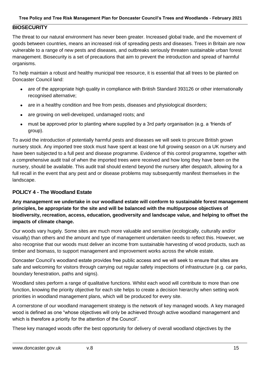### **BIOSECURITY**

The threat to our natural environment has never been greater. Increased global trade, and the movement of goods between countries, means an increased risk of spreading pests and diseases. Trees in Britain are now vulnerable to a range of new pests and diseases, and outbreaks seriously threaten sustainable urban forest management. Biosecurity is a set of precautions that aim to prevent the introduction and spread of harmful organisms.

To help maintain a robust and healthy municipal tree resource, it is essential that all trees to be planted on Doncaster Council land:

- are of the appropriate high quality in compliance with British Standard 393126 or other internationally recognised alternative;
- are in a healthy condition and free from pests, diseases and physiological disorders;
- are growing on well-developed, undamaged roots; and
- must be approved prior to planting where supplied by a 3rd party organisation (e.g. a 'friends of' group).

To avoid the introduction of potentially harmful pests and diseases we will seek to procure British grown nursery stock. Any imported tree stock must have spent at least one full growing season on a UK nursery and have been subjected to a full pest and disease programme. Evidence of this control programme, together with a comprehensive audit trail of when the imported trees were received and how long they have been on the nursery, should be available. This audit trail should extend beyond the nursery after despatch, allowing for a full recall in the event that any pest and or disease problems may subsequently manifest themselves in the landscape.

#### **POLICY 4 - The Woodland Estate**

**Any management we undertake in our woodland estate will conform to sustainable forest management principles, be appropriate for the site and will be balanced with the multipurpose objectives of biodiversity, recreation, access, education, geodiversity and landscape value, and helping to offset the impacts of climate change.**

Our woods vary hugely. Some sites are much more valuable and sensitive (ecologically, culturally and/or visually) than others and the amount and type of management undertaken needs to reflect this. However, we also recognise that our woods must deliver an income from sustainable harvesting of wood products, such as timber and biomass, to support management and improvement works across the whole estate.

Doncaster Council's woodland estate provides free public access and we will seek to ensure that sites are safe and welcoming for visitors through carrying out regular safety inspections of infrastructure (e.g. car parks, boundary fenestration, paths and signs).

Woodland sites perform a range of qualitative functions. Whilst each wood will contribute to more than one function, knowing the priority objective for each site helps to create a decision hierarchy when setting work priorities in woodland management plans, which will be produced for every site.

A cornerstone of our woodland management strategy is the network of key managed woods. A key managed wood is defined as one "whose objectives will only be achieved through active woodland management and which is therefore a priority for the attention of the Council".

These key managed woods offer the best opportunity for delivery of overall woodland objectives by the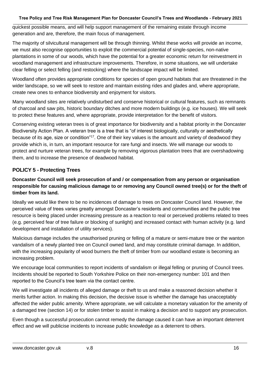quickest possible means, and will help support management of the remaining estate through income generation and are, therefore, the main focus of management.

The majority of silvicultural management will be through thinning. Whilst these works will provide an income, we must also recognise opportunities to exploit the commercial potential of single-species, non-native plantations in some of our woods, which have the potential for a greater economic return for reinvestment in woodland management and infrastructure improvements. Therefore, in some situations, we will undertake clear felling or select felling (and restocking) where the landscape impact will be limited.

Woodland often provides appropriate conditions for species of open ground habitats that are threatened in the wider landscape, so we will seek to restore and maintain existing rides and glades and, where appropriate, create new ones to enhance biodiversity and enjoyment for visitors.

Many woodland sites are relatively undisturbed and conserve historical or cultural features, such as remnants of charcoal and saw pits, historic boundary ditches and more modern buildings (e.g. ice houses). We will seek to protect these features and, where appropriate, provide interpretation for the benefit of visitors.

Conserving existing veteran trees is of great importance for biodiversity and a habitat priority in the Doncaster Biodiversity Action Plan. A veteran tree is a tree that is "of interest biologically, culturally or aesthetically because of its age, size or condition"<sup>17</sup>. One of their key values is the amount and variety of deadwood they provide which is, in turn, an important resource for rare fungi and insects. We will manage our woods to protect and nurture veteran trees, for example by removing vigorous plantation trees that are overshadowing them, and to increase the presence of deadwood habitat.

## **POLICY 5 - Protecting Trees**

### **Doncaster Council will seek prosecution of and / or compensation from any person or organisation responsible for causing malicious damage to or removing any Council owned tree(s) or for the theft of timber from its land.**

Ideally we would like there to be no incidences of damage to trees on Doncaster Council land. However, the perceived value of trees varies greatly amongst Doncaster's residents and communities and the public tree resource is being placed under increasing pressure as a reaction to real or perceived problems related to trees (e.g. perceived fear of tree failure or blocking of sunlight) and increased contact with human activity (e.g. land development and installation of utility services).

Malicious damage includes the unauthorised pruning or felling of a mature or semi-mature tree or the wanton vandalism of a newly planted tree on Council owned land, and may constitute criminal damage. In addition, with the increasing popularity of wood burners the theft of timber from our woodland estate is becoming an increasing problem.

We encourage local communities to report incidents of vandalism or illegal felling or pruning of Council trees. Incidents should be reported to South Yorkshire Police on their non-emergency number: 101 and then reported to the Council's tree team via the contact centre.

We will investigate all incidents of alleged damage or theft to us and make a reasoned decision whether it merits further action. In making this decision, the decisive issue is whether the damage has unacceptably affected the wider public amenity. Where appropriate, we will calculate a monetary valuation for the amenity of a damaged tree (section 14) or for stolen timber to assist in making a decision and to support any prosecution.

Even though a successful prosecution cannot remedy the damage caused it can have an important deterrent effect and we will publicise incidents to increase public knowledge as a deterrent to others.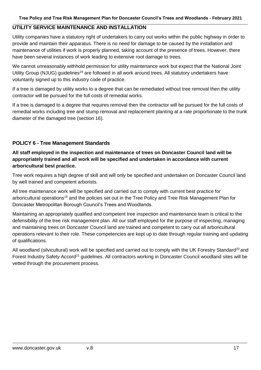### **UTILITY SERVICE MAINTENANCE AND INSTALLATION**

Utility companies have a statutory right of undertakers to carry out works within the public highway in order to provide and maintain their apparatus. There is no need for damage to be caused by the installation and maintenance of utilities if work is properly planned, taking account of the presence of trees. However, there have been several instances of work leading to extensive root damage to trees.

We cannot unreasonably withhold permission for utility maintenance work but expect that the National Joint Utility Group (NJUG) quidelines<sup>18</sup> are followed in all work around trees. All statutory undertakers have voluntarily signed up to this industry code of practice.

If a tree is damaged by utility works to a degree that can be remediated without tree removal then the utility contractor will be pursued for the full costs of remedial works.

If a tree is damaged to a degree that requires removal then the contractor will be pursued for the full costs of remedial works including tree and stump removal and replacement planting at a rate proportionate to the trunk diameter of the damaged tree (section 16).

#### **POLICY 6 - Tree Management Standards**

**All staff employed in the inspection and maintenance of trees on Doncaster Council land will be appropriately trained and all work will be specified and undertaken in accordance with current arboricultural best practice.**

Tree work requires a high degree of skill and will only be specified and undertaken on Doncaster Council land by well trained and competent arborists.

All tree maintenance work will be specified and carried out to comply with current best practice for arboricultural operations<sup>19</sup> and the policies set out in the Tree Policy and Tree Risk Management Plan for Doncaster Metropolitan Borough Council's Trees and Woodlands.

Maintaining an appropriately qualified and competent tree inspection and maintenance team is critical to the defensibility of the tree risk management plan. All our staff employed for the purpose of inspecting, managing and maintaining trees on Doncaster Council land are trained and competent to carry out all arboricultural operations relevant to their role. These competencies are kept up to date through regular training and updating of qualifications.

All woodland (silvicultural) work will be specified and carried out to comply with the UK Forestry Standard<sup>20</sup> and Forest Industry Safety Accord<sup>21</sup> guidelines. All contractors working in Doncaster Council woodland sites will be vetted through the procurement process.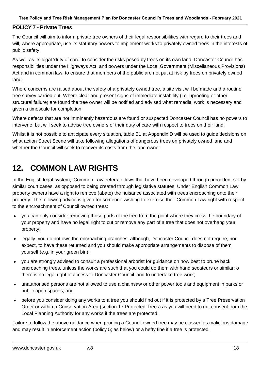### **POLICY 7 - Private Trees**

The Council will aim to inform private tree owners of their legal responsibilities with regard to their trees and will, where appropriate, use its statutory powers to implement works to privately owned trees in the interests of public safety.

As well as its legal 'duty of care' to consider the risks posed by trees on its own land, Doncaster Council has responsibilities under the Highways Act, and powers under the Local Government (Miscellaneous Provisions) Act and in common law, to ensure that members of the public are not put at risk by trees on privately owned land.

Where concerns are raised about the safety of a privately owned tree, a site visit will be made and a routine tree survey carried out. Where clear and present signs of immediate instability (i.e. uprooting or other structural failure) are found the tree owner will be notified and advised what remedial work is necessary and given a timescale for completion.

Where defects that are not imminently hazardous are found or suspected Doncaster Council has no powers to intervene, but will seek to advise tree owners of their duty of care with respect to trees on their land.

Whilst it is not possible to anticipate every situation, table B1 at Appendix D will be used to guide decisions on what action Street Scene will take following allegations of dangerous trees on privately owned land and whether the Council will seek to recover its costs from the land owner.

## **12. COMMON LAW RIGHTS**

In the English legal system, 'Common Law' refers to laws that have been developed through precedent set by similar court cases, as opposed to being created through legislative statutes. Under English Common Law, property owners have a right to remove (abate) the nuisance associated with trees encroaching onto their property. The following advice is given for someone wishing to exercise their Common Law right with respect to the encroachment of Council owned trees:

- you can only consider removing those parts of the tree from the point where they cross the boundary of your property and have no legal right to cut or remove any part of a tree that does not overhang your property;
- legally, you do not own the encroaching branches, although, Doncaster Council does not require, nor expect, to have these returned and you should make appropriate arrangements to dispose of them yourself (e.g. in your green bin);
- you are strongly advised to consult a professional arborist for guidance on how best to prune back encroaching trees, unless the works are such that you could do them with hand secateurs or similar; o there is no legal right of access to Doncaster Council land to undertake tree work;
- unauthorised persons are not allowed to use a chainsaw or other power tools and equipment in parks or public open spaces; and
- before you consider doing any works to a tree you should find out if it is protected by a Tree Preservation Order or within a Conservation Area (section 17 Protected Trees) as you will need to get consent from the Local Planning Authority for any works if the trees are protected.

Failure to follow the above guidance when pruning a Council owned tree may be classed as malicious damage and may result in enforcement action (policy 5; as below) or a hefty fine if a tree is protected.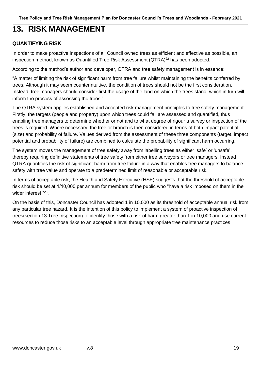## **13. RISK MANAGEMENT**

## **QUANTIFYING RISK**

In order to make proactive inspections of all Council owned trees as efficient and effective as possible, an inspection method, known as Quantified Tree Risk Assessment (QTRA)<sup>22</sup> has been adopted.

According to the method's author and developer, QTRA and tree safety management is in essence:

"A matter of limiting the risk of significant harm from tree failure whilst maintaining the benefits conferred by trees. Although it may seem counterintuitive, the condition of trees should not be the first consideration. Instead, tree managers should consider first the usage of the land on which the trees stand, which in turn will inform the process of assessing the trees."

The QTRA system applies established and accepted risk management principles to tree safety management. Firstly, the targets (people and property) upon which trees could fall are assessed and quantified, thus enabling tree managers to determine whether or not and to what degree of rigour a survey or inspection of the trees is required. Where necessary, the tree or branch is then considered in terms of both impact potential (size) and probability of failure. Values derived from the assessment of these three components (target, impact potential and probability of failure) are combined to calculate the probability of significant harm occurring.

The system moves the management of tree safety away from labelling trees as either 'safe' or 'unsafe', thereby requiring definitive statements of tree safety from either tree surveyors or tree managers. Instead QTRA quantifies the risk of significant harm from tree failure in a way that enables tree managers to balance safety with tree value and operate to a predetermined limit of reasonable or acceptable risk.

In terms of acceptable risk, the Health and Safety Executive (HSE) suggests that the threshold of acceptable risk should be set at 1/10,000 per annum for members of the public who "have a risk imposed on them in the wider interest "<sup>23</sup> .

On the basis of this, Doncaster Council has adopted 1 in 10,000 as its threshold of acceptable annual risk from any particular tree hazard. It is the intention of this policy to implement a system of proactive inspection of trees(section 13 Tree Inspection) to identify those with a risk of harm greater than 1 in 10,000 and use current resources to reduce those risks to an acceptable level through appropriate tree maintenance practices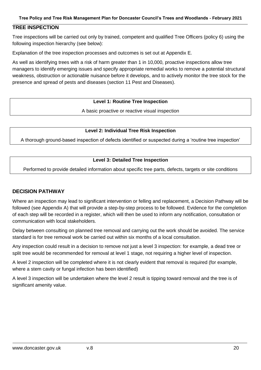### **TREE INSPECTION**

Tree inspections will be carried out only by trained, competent and qualified Tree Officers (policy 6) using the following inspection hierarchy (see below):

Explanation of the tree inspection processes and outcomes is set out at Appendix E.

As well as identifying trees with a risk of harm greater than 1 in 10,000, proactive inspections allow tree managers to identify emerging issues and specify appropriate remedial works to remove a potential structural weakness, obstruction or actionable nuisance before it develops, and to actively monitor the tree stock for the presence and spread of pests and diseases (section 11 Pest and Diseases).

#### **Level 1: Routine Tree Inspection**

A basic proactive or reactive visual inspection

#### **Level 2: Individual Tree Risk Inspection**

A thorough ground-based inspection of defects identified or suspected during a 'routine tree inspection'

#### **Level 3: Detailed Tree Inspection**

Performed to provide detailed information about specific tree parts, defects, targets or site conditions

#### **DECISION PATHWAY**

Where an inspection may lead to significant intervention or felling and replacement, a Decision Pathway will be followed (see Appendix A) that will provide a step-by-step process to be followed. Evidence for the completion of each step will be recorded in a register, which will then be used to inform any notification, consultation or communication with local stakeholders.

Delay between consulting on planned tree removal and carrying out the work should be avoided. The service standard is for tree removal work be carried out within six months of a local consultation.

Any inspection could result in a decision to remove not just a level 3 inspection: for example, a dead tree or split tree would be recommended for removal at level 1 stage, not requiring a higher level of inspection.

A level 2 inspection will be completed where it is not clearly evident that removal is required (for example, where a stem cavity or fungal infection has been identified)

A level 3 inspection will be undertaken where the level 2 result is tipping toward removal and the tree is of significant amenity value.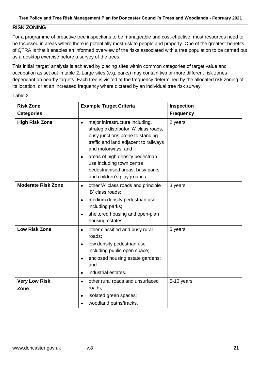### **RISK ZONING**

For a programme of proactive tree inspections to be manageable and cost-effective, most resources need to be focussed in areas where there is potentially most risk to people and property. One of the greatest benefits of QTRA is that it enables an informed overview of the risks associated with a tree population to be carried out as a desktop exercise before a survey of the trees.

This initial 'target' analysis is achieved by placing sites within common categories of target value and occupation as set out in table 2. Large sites (e.g. parks) may contain two or more different risk zones dependant on nearby targets. Each tree is visited at the frequency determined by the allocated risk zoning of its location, or at an increased frequency where dictated by an individual tree risk survey.

| <b>Risk Zone</b>          | <b>Example Target Criteria</b>                                                                                                                                                                                                                                                                                                             | Inspection       |
|---------------------------|--------------------------------------------------------------------------------------------------------------------------------------------------------------------------------------------------------------------------------------------------------------------------------------------------------------------------------------------|------------------|
| <b>Categories</b>         |                                                                                                                                                                                                                                                                                                                                            | <b>Frequency</b> |
| <b>High Risk Zone</b>     | major infrastructure including,<br>$\bullet$<br>strategic distributor 'A' class roads,<br>busy junctions prone to standing<br>traffic and land adjacent to railways<br>and motorways; and<br>areas of high density pedestrian<br>$\bullet$<br>use including town centre<br>pedestrianised areas, busy parks<br>and children's playgrounds. | 2 years          |
| <b>Moderate Risk Zone</b> | other 'A' class roads and principle<br>$\bullet$                                                                                                                                                                                                                                                                                           | 3 years          |
|                           | 'B' class roads;                                                                                                                                                                                                                                                                                                                           |                  |
|                           | medium density pedestrian use<br>$\bullet$<br>including parks;                                                                                                                                                                                                                                                                             |                  |
|                           | sheltered housing and open-plan<br>$\bullet$<br>housing estates.                                                                                                                                                                                                                                                                           |                  |
| <b>Low Risk Zone</b>      | other classified and busy rural<br>$\bullet$<br>roads;                                                                                                                                                                                                                                                                                     | 5 years          |
|                           | low density pedestrian use<br>$\bullet$<br>including public open space;                                                                                                                                                                                                                                                                    |                  |
|                           | enclosed housing estate gardens;<br>٠<br>and                                                                                                                                                                                                                                                                                               |                  |
|                           | industrial estates.<br>$\bullet$                                                                                                                                                                                                                                                                                                           |                  |
| <b>Very Low Risk</b>      | other rural roads and unsurfaced<br>$\bullet$                                                                                                                                                                                                                                                                                              | 5-10 years       |
| Zone                      | roads;                                                                                                                                                                                                                                                                                                                                     |                  |
|                           | isolated green spaces;                                                                                                                                                                                                                                                                                                                     |                  |
|                           | woodland paths/tracks.                                                                                                                                                                                                                                                                                                                     |                  |

Table 2: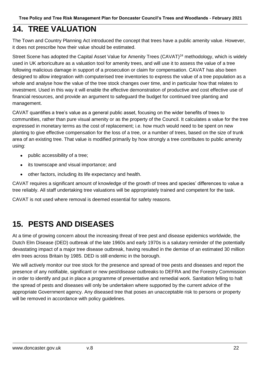## **14. TREE VALUATION**

The Town and Country Planning Act introduced the concept that trees have a public amenity value. However, it does not prescribe how their value should be estimated.

Street Scene has adopted the Capital Asset Value for Amenity Trees (CAVAT)<sup>24</sup> methodology, which is widely used in UK arboriculture as a valuation tool for amenity trees, and will use it to assess the value of a tree following malicious damage in support of a prosecution or claim for compensation. CAVAT has also been designed to allow integration with computerised tree inventories to express the value of a tree population as a whole and analyse how the value of the tree stock changes over time, and in particular how that relates to investment. Used in this way it will enable the effective demonstration of productive and cost effective use of financial resources, and provide an argument to safeguard the budget for continued tree planting and management.

CAVAT quantifies a tree's value as a general public asset, focusing on the wider benefits of trees to communities, rather than pure visual amenity or as the property of the Council. It calculates a value for the tree expressed in monetary terms as the cost of replacement; i.e. how much would need to be spent on new planting to give effective compensation for the loss of a tree, or a number of trees, based on the size of trunk area of an existing tree. That value is modified primarily by how strongly a tree contributes to public amenity using:

- public accessibility of a tree;
- its townscape and visual importance; and
- other factors, including its life expectancy and health.

CAVAT requires a significant amount of knowledge of the growth of trees and species' differences to value a tree reliably. All staff undertaking tree valuations will be appropriately trained and competent for the task.

CAVAT is not used where removal is deemed essential for safety reasons.

## **15. PESTS AND DISEASES**

At a time of growing concern about the increasing threat of tree pest and disease epidemics worldwide, the Dutch Elm Disease (DED) outbreak of the late 1960s and early 1970s is a salutary reminder of the potentially devastating impact of a major tree disease outbreak, having resulted in the demise of an estimated 30 million elm trees across Britain by 1985. DED is still endemic in the borough.

We will actively monitor our tree stock for the presence and spread of tree pests and diseases and report the presence of any notifiable, significant or new pest/disease outbreaks to DEFRA and the Forestry Commission in order to identify and put in place a programme of preventative and remedial work. Sanitation felling to halt the spread of pests and diseases will only be undertaken where supported by the current advice of the appropriate Government agency. Any diseased tree that poses an unacceptable risk to persons or property will be removed in accordance with policy quidelines.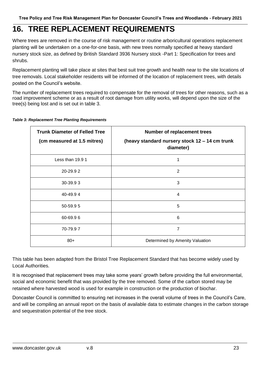## **16. TREE REPLACEMENT REQUIREMENTS**

Where trees are removed in the course of risk management or routine arboricultural operations replacement planting will be undertaken on a one-for-one basis, with new trees normally specified at heavy standard nursery stock size, as defined by British Standard 3936 Nursery stock -Part 1: Specification for trees and shrubs.

Replacement planting will take place at sites that best suit tree growth and health near to the site locations of tree removals. Local stakeholder residents will be informed of the location of replacement trees, with details posted on the Council's website.

The number of replacement trees required to compensate for the removal of trees for other reasons, such as a road improvement scheme or as a result of root damage from utility works, will depend upon the size of the tree(s) being lost and is set out in table 3.

| <b>Trunk Diameter of Felled Tree</b> | <b>Number of replacement trees</b>                          |
|--------------------------------------|-------------------------------------------------------------|
| (cm measured at 1.5 mitres)          | (heavy standard nursery stock 12 – 14 cm trunk<br>diameter) |
| Less than 19.9 1                     | 1                                                           |
| 20-29.92                             | 2                                                           |
| 30-39.93                             | 3                                                           |
| 40-49.94                             | $\overline{4}$                                              |
| 50-59.95                             | 5                                                           |
| 60-69.96                             | 6                                                           |
| 70-79.97                             | 7                                                           |
| $80+$                                | Determined by Amenity Valuation                             |

#### *Table 3: Replacement Tree Planting Requirements*

This table has been adapted from the Bristol Tree Replacement Standard that has become widely used by Local Authorities.

It is recognised that replacement trees may take some years' growth before providing the full environmental, social and economic benefit that was provided by the tree removed. Some of the carbon stored may be retained where harvested wood is used for example in construction or the production of biochar.

Doncaster Council is committed to ensuring net increases in the overall volume of trees in the Council's Care, and will be compiling an annual report on the basis of available data to estimate changes in the carbon storage and sequestration potential of the tree stock.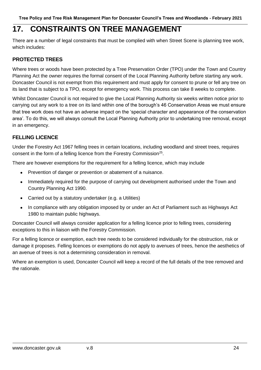## **17. CONSTRAINTS ON TREE MANAGEMENT**

There are a number of legal constraints that must be complied with when Street Scene is planning tree work, which includes:

## **PROTECTED TREES**

Where trees or woods have been protected by a Tree Preservation Order (TPO) under the Town and Country Planning Act the owner requires the formal consent of the Local Planning Authority before starting any work. Doncaster Council is not exempt from this requirement and must apply for consent to prune or fell any tree on its land that is subject to a TPO, except for emergency work. This process can take 8 weeks to complete.

Whilst Doncaster Council is not required to give the Local Planning Authority six weeks written notice prior to carrying out any work to a tree on its land within one of the borough's 46 Conservation Areas we must ensure that tree work does not have an adverse impact on the 'special character and appearance of the conservation area'. To do this, we will always consult the Local Planning Authority prior to undertaking tree removal, except in an emergency.

## **FELLING LICENCE**

Under the Forestry Act 1967 felling trees in certain locations, including woodland and street trees, requires consent in the form of a felling licence from the Forestry Commission<sup>25</sup>.

There are however exemptions for the requirement for a felling licence, which may include

- Prevention of danger or prevention or abatement of a nuisance.
- Immediately required for the purpose of carrying out development authorised under the Town and Country Planning Act 1990.
- Carried out by a statutory undertaker (e.g. a Utilities)
- In compliance with any obligation imposed by or under an Act of Parliament such as Highways Act 1980 to maintain public highways.

Doncaster Council will always consider application for a felling licence prior to felling trees, considering exceptions to this in liaison with the Forestry Commission.

For a felling licence or exemption, each tree needs to be considered individually for the obstruction, risk or damage it proposes. Felling licences or exemptions do not apply to avenues of trees, hence the aesthetics of an avenue of trees is not a determining consideration in removal.

Where an exemption is used, Doncaster Council will keep a record of the full details of the tree removed and the rationale.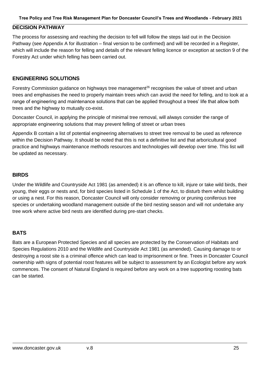### **DECISION PATHWAY**

The process for assessing and reaching the decision to fell will follow the steps laid out in the Decision Pathway (see Appendix A for illustration – final version to be confirmed) and will be recorded in a Register, which will include the reason for felling and details of the relevant felling licence or exception at section 9 of the Forestry Act under which felling has been carried out.

#### **ENGINEERING SOLUTIONS**

Forestry Commission guidance on highways tree management<sup>26</sup> recognises the value of street and urban trees and emphasises the need to properly maintain trees which can avoid the need for felling, and to look at a range of engineering and maintenance solutions that can be applied throughout a trees' life that allow both trees and the highway to mutually co-exist.

Doncaster Council, in applying the principle of minimal tree removal, will always consider the range of appropriate engineering solutions that may prevent felling of street or urban trees

Appendix B contain a list of potential engineering alternatives to street tree removal to be used as reference within the Decision Pathway. It should be noted that this is not a definitive list and that arboricultural good practice and highways maintenance methods resources and technologies will develop over time. This list will be updated as necessary.

#### **BIRDS**

Under the Wildlife and Countryside Act 1981 (as amended) it is an offence to kill, injure or take wild birds, their young, their eggs or nests and, for bird species listed in Schedule 1 of the Act, to disturb them whilst building or using a nest. For this reason, Doncaster Council will only consider removing or pruning coniferous tree species or undertaking woodland management outside of the bird nesting season and will not undertake any tree work where active bird nests are identified during pre-start checks.

#### **BATS**

Bats are a European Protected Species and all species are protected by the Conservation of Habitats and Species Regulations 2010 and the Wildlife and Countryside Act 1981 (as amended). Causing damage to or destroying a roost site is a criminal offence which can lead to imprisonment or fine. Trees in Doncaster Council ownership with signs of potential roost features will be subject to assessment by an Ecologist before any work commences. The consent of Natural England is required before any work on a tree supporting roosting bats can be started.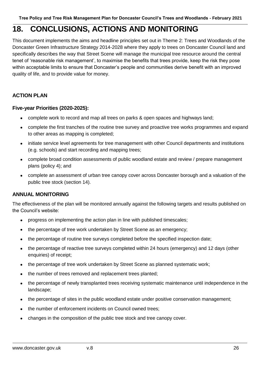## **18. CONCLUSIONS, ACTIONS AND MONITORING**

This document implements the aims and headline principles set out in Theme 2: Trees and Woodlands of the Doncaster Green Infrastructure Strategy 2014-2028 where they apply to trees on Doncaster Council land and specifically describes the way that Street Scene will manage the municipal tree resource around the central tenet of 'reasonable risk management', to maximise the benefits that trees provide, keep the risk they pose within acceptable limits to ensure that Doncaster's people and communities derive benefit with an improved quality of life, and to provide value for money.

## **ACTION PLAN**

### **Five-year Priorities (2020-2025):**

- complete work to record and map all trees on parks & open spaces and highways land;
- complete the first tranches of the routine tree survey and proactive tree works programmes and expand to other areas as mapping is completed;
- initiate service level agreements for tree management with other Council departments and institutions (e.g. schools) and start recording and mapping trees;
- complete broad condition assessments of public woodland estate and review / prepare management plans (policy 4); and
- complete an assessment of urban tree canopy cover across Doncaster borough and a valuation of the public tree stock (section 14).

### **ANNUAL MONITORING**

The effectiveness of the plan will be monitored annually against the following targets and results published on the Council's website:

- progress on implementing the action plan in line with published timescales;
- the percentage of tree work undertaken by Street Scene as an emergency;
- the percentage of routine tree surveys completed before the specified inspection date;
- the percentage of reactive tree surveys completed within 24 hours (emergency) and 12 days (other enquiries) of receipt;
- the percentage of tree work undertaken by Street Scene as planned systematic work;
- the number of trees removed and replacement trees planted;
- the percentage of newly transplanted trees receiving systematic maintenance until independence in the landscape;
- the percentage of sites in the public woodland estate under positive conservation management;
- the number of enforcement incidents on Council owned trees;
- changes in the composition of the public tree stock and tree canopy cover.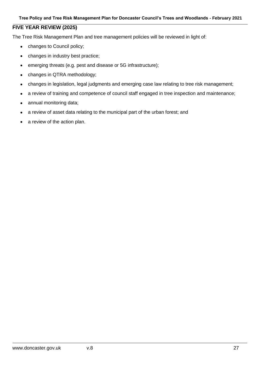### **FIVE YEAR REVIEW (2025)**

The Tree Risk Management Plan and tree management policies will be reviewed in light of:

- changes to Council policy;
- changes in industry best practice;
- emerging threats (e.g. pest and disease or 5G infrastructure);
- changes in QTRA methodology;
- changes in legislation, legal judgments and emerging case law relating to tree risk management;
- a review of training and competence of council staff engaged in tree inspection and maintenance;
- annual monitoring data;
- a review of asset data relating to the municipal part of the urban forest; and
- a review of the action plan.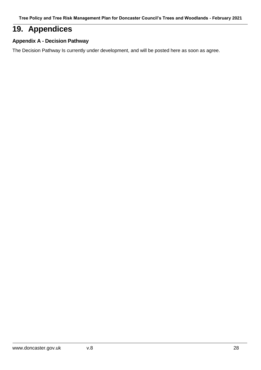## **19. Appendices**

### **Appendix A - Decision Pathway**

The Decision Pathway Is currently under development, and will be posted here as soon as agree.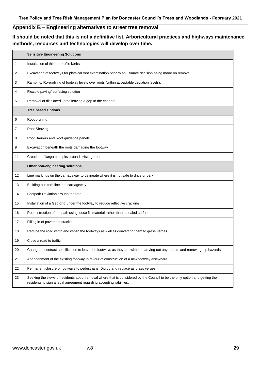## **Appendix B – Engineering alternatives to street tree removal**

**It should be noted that this is not a definitive list. Arboricultural practices and highways maintenance methods, resources and technologies will develop over time.**

|    | <b>Sensitive Engineering Solutions</b>                                                                                                                                                             |
|----|----------------------------------------------------------------------------------------------------------------------------------------------------------------------------------------------------|
| 1  | Installation of thinner profile kerbs                                                                                                                                                              |
| 2  | Excavation of footways for physical root examination prior to an ultimate decision being made on removal                                                                                           |
| 3  | Ramping/ Ro-profiling of footway levels over roots (within acceptable deviation levels).                                                                                                           |
| 4  | Flexible paving/ surfacing solution                                                                                                                                                                |
| 5  | Removal of displaced kerbs leaving a gap In the channel                                                                                                                                            |
|    | <b>Tree based Options</b>                                                                                                                                                                          |
| 6  | Root pruning                                                                                                                                                                                       |
| 7  | Root Shaving                                                                                                                                                                                       |
| 8  | Root Barriers and Root guidance panels                                                                                                                                                             |
| 9  | Excavation beneath the roots damaging the footway                                                                                                                                                  |
| 11 | Creation of larger tree pits around existing trees                                                                                                                                                 |
|    | Other non-engineering solutions                                                                                                                                                                    |
| 12 | Line markings on the carriageway to delineate where it is not safe to drive or park                                                                                                                |
| 13 | Building out kerb line into carriageway                                                                                                                                                            |
| 14 | Footpath Deviation around the tree                                                                                                                                                                 |
| 15 | Installation of a Geo-grid under the footway to reduce reflective cracking                                                                                                                         |
| 16 | Reconstruction of the path using loose fill material rather than a sealed surface                                                                                                                  |
| 17 | Filling in of pavement cracks                                                                                                                                                                      |
| 18 | Reduce the road width and widen the footways as well as converting them to grass verges                                                                                                            |
| 19 | Close a road to traffic                                                                                                                                                                            |
| 20 | Change to contract specification to leave the footways as they are without carrying out any repairs and removing trip hazards                                                                      |
| 21 | Abandonment of the existing footway In favour of construction of a new footway elsewhere                                                                                                           |
| 22 | Permanent closure of footways to pedestrians. Dig up and replace as grass verges.                                                                                                                  |
| 23 | Seeking the views of residents about removal where that is considered by the Council to be the only option and getting the<br>residents to sign a legal agreement regarding accepting liabilities. |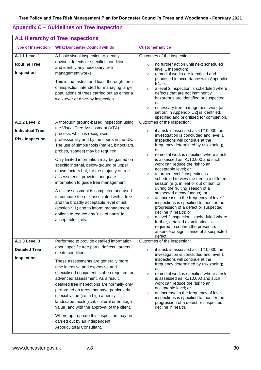## **Appendix C – Guidelines on Tree Inspection**

| A.1 Hierarchy of Tree Inspections                                                 |                                                                                                                                                                                                                                                                                                                                                                                                                                                                                                                                                                                                                                    |                                                                                                                                                                                                                                                                                                                                                                                                                                                                                                                                                                                                                                                                                                                                                                                                                                                                                                     |
|-----------------------------------------------------------------------------------|------------------------------------------------------------------------------------------------------------------------------------------------------------------------------------------------------------------------------------------------------------------------------------------------------------------------------------------------------------------------------------------------------------------------------------------------------------------------------------------------------------------------------------------------------------------------------------------------------------------------------------|-----------------------------------------------------------------------------------------------------------------------------------------------------------------------------------------------------------------------------------------------------------------------------------------------------------------------------------------------------------------------------------------------------------------------------------------------------------------------------------------------------------------------------------------------------------------------------------------------------------------------------------------------------------------------------------------------------------------------------------------------------------------------------------------------------------------------------------------------------------------------------------------------------|
| <b>Type of Inspection</b>                                                         | <b>What Doncaster Council will do</b>                                                                                                                                                                                                                                                                                                                                                                                                                                                                                                                                                                                              | <b>Customer advice</b>                                                                                                                                                                                                                                                                                                                                                                                                                                                                                                                                                                                                                                                                                                                                                                                                                                                                              |
| <b>A.1.1 Level 1</b><br><b>Routine Tree</b><br>Inspection<br><b>A.1.2 Level 2</b> | A basic visual inspection to identify<br>obvious defects or specified conditions<br>and identify any necessary tree<br>management works.<br>This is the fastest and least thorough form<br>of inspection intended for managing large<br>populations of trees carried out as either a<br>walk-over or drive-by inspection.<br>A thorough ground-based inspection using                                                                                                                                                                                                                                                              | Outcomes of the inspection:<br>no further action until next scheduled<br>$\circ$<br>level 1 inspection;<br>remedial works are identified and<br>$\circ$<br>prioritised in accordance with Appendix<br>B1; or<br>a level 2 inspection is scheduled where<br>$\circ$<br>defects that are not imminently<br>hazardous are identified or suspected;<br>or<br>necessary tree management work [as<br>$\circ$<br>set out in Appendix D2] is identified,<br>specified and prioritised for completion.<br>Outcomes of the inspection:                                                                                                                                                                                                                                                                                                                                                                        |
|                                                                                   | the Visual Tree Assessment (VTA)                                                                                                                                                                                                                                                                                                                                                                                                                                                                                                                                                                                                   |                                                                                                                                                                                                                                                                                                                                                                                                                                                                                                                                                                                                                                                                                                                                                                                                                                                                                                     |
| <b>Individual Tree</b><br><b>Risk Inspection</b>                                  | process, which is recognised<br>professionally and by the courts in the UK.<br>The use of simple tools (mallet, binoculars,<br>probes, spades) may be required.<br>Only limited information may be gained on<br>specific internal, below-ground or upper<br>crown factors but, for the majority of tree<br>assessments, provides adequate<br>information to guide tree management.<br>A risk assessment is completed and used<br>to compare the risk associated with a tree<br>and the broadly acceptable level of risk<br>(section 9.1) and to inform management<br>options to reduce any 'risk of harm' to<br>acceptable limits. | if a risk is assessed as $<$ 1/10,000 the<br>$\circ$<br>investigation is concluded and level 1<br>inspections will continue at the<br>frequency determined by risk zoning;<br>or<br>remedial work is specified where a risk<br>$\circ$<br>is assessed as >1/10,000 and such<br>work can reduce the risk to an<br>acceptable level; or<br>a further level 2 inspection is<br>$\circ$<br>scheduled to view the tree in a different<br>season (e.g. in leaf or out of leaf, or<br>during the fruiting season of a<br>suspected decay fungus); or<br>an increase in the frequency of level 1<br>$\circ$<br>inspections is specified to monitor the<br>progression of a defect or suspected<br>decline in health; or<br>a level 3 inspection is scheduled where<br>$\circ$<br>further, detailed examination is<br>required to confirm the presence,<br>absence or significance of a suspected<br>defect. |
| <b>A.1.3 Level 3</b>                                                              | Performed to provide detailed information<br>about specific tree parts, defects, targets                                                                                                                                                                                                                                                                                                                                                                                                                                                                                                                                           | Outcomes of the inspection:                                                                                                                                                                                                                                                                                                                                                                                                                                                                                                                                                                                                                                                                                                                                                                                                                                                                         |
| <b>Detailed Tree</b><br>Inspection                                                | or site conditions.<br>These assessments are generally more<br>time intensive and expensive and<br>specialised equipment is often required for<br>advanced assessment. As a result,<br>detailed tree inspections are normally only<br>performed on trees that have particularly<br>special value (i.e. a high amenity,<br>landscape, ecological, cultural or heritage<br>value) and with the approval of the client.<br>Where appropriate this inspection may be<br>carried out by an independent<br>Arboricultural Consultant.                                                                                                    | if a risk is assessed as $<$ 1/10,000 the<br>$\circ$<br>investigation is concluded and level 1<br>inspections will continue at the<br>frequency determined by risk zoning;<br>or<br>remedial work is specified where a risk<br>$\circ$<br>is assessed as >1/10,000 and such<br>work can reduce the risk to an<br>acceptable level; or<br>an increase in the frequency of level 1<br>$\circ$<br>inspections is specified to monitor the<br>progression of a defect or suspected<br>decline in health.                                                                                                                                                                                                                                                                                                                                                                                                |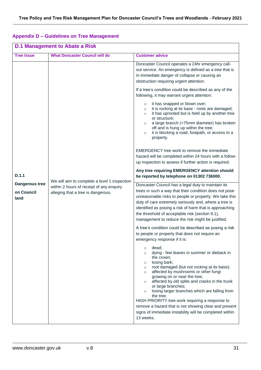### **Appendix D – Guidelines on Tree Management**

| <b>D.1 Management to Abate a Risk</b>         |                                                                                                                                |                                                                                                                                                                                                                                                                                                                                                                                                                                                                                                                                                                                                                 |
|-----------------------------------------------|--------------------------------------------------------------------------------------------------------------------------------|-----------------------------------------------------------------------------------------------------------------------------------------------------------------------------------------------------------------------------------------------------------------------------------------------------------------------------------------------------------------------------------------------------------------------------------------------------------------------------------------------------------------------------------------------------------------------------------------------------------------|
| <b>Tree Issue</b>                             | <b>What Doncaster Council will do</b>                                                                                          | <b>Customer advice</b>                                                                                                                                                                                                                                                                                                                                                                                                                                                                                                                                                                                          |
|                                               |                                                                                                                                | Doncaster Council operates a 24hr emergency call-<br>out service. An emergency is defined as a tree that is<br>in immediate danger of collapse or causing an<br>obstruction requiring urgent attention.                                                                                                                                                                                                                                                                                                                                                                                                         |
|                                               |                                                                                                                                | If a tree's condition could be described as any of the<br>following, it may warrant urgent attention:                                                                                                                                                                                                                                                                                                                                                                                                                                                                                                           |
|                                               |                                                                                                                                | it has snapped or blown over;<br>$\circ$<br>it is rocking at its base - roots are damaged;<br>$\circ$<br>it has uprooted but is held up by another tree<br>$\circ$<br>or structure;<br>a large branch (>75mm diameter) has broken<br>$\circ$<br>off and is hung up within the tree;<br>it is blocking a road, footpath, or access to a<br>$\circ$<br>property.                                                                                                                                                                                                                                                  |
|                                               |                                                                                                                                | EMERGENCY tree work to remove the immediate<br>hazard will be completed within 24 hours with a follow-<br>up inspection to assess if further action is required.                                                                                                                                                                                                                                                                                                                                                                                                                                                |
| D.1.1<br>Dangerous tree<br>on Council<br>land | We will aim to complete a level 1 inspection<br>within 2 hours of receipt of any enquiry<br>alleging that a tree is dangerous. | Any tree requiring EMERGENCY attention should<br>be reported by telephone on 01302 736000.                                                                                                                                                                                                                                                                                                                                                                                                                                                                                                                      |
|                                               |                                                                                                                                | Doncaster Council has a legal duty to maintain its<br>trees in such a way that their condition does not pose<br>unreasonable risks to people or property. We take this<br>duty of care extremely seriously and, where a tree is<br>identified as posing a risk of harm that is approaching<br>the threshold of acceptable risk (section 9.1),<br>management to reduce the risk might be justified.                                                                                                                                                                                                              |
|                                               |                                                                                                                                | A tree's condition could be described as posing a risk<br>to people or property that does not require an<br>emergency response if it is:                                                                                                                                                                                                                                                                                                                                                                                                                                                                        |
|                                               |                                                                                                                                | dead;<br>$\circ$<br>dying - few leaves in summer or dieback in<br>$\circ$<br>the crown;<br>losing bark;<br>$\circ$<br>root damaged (but not rocking at its base);<br>$\circ$<br>affected by mushrooms or other fungi<br>$\circ$<br>growing on or near the tree;<br>affected by old splits and cracks in the trunk<br>$\circ$<br>or large branches;<br>losing larger branches which are falling from<br>$\circ$<br>the tree.<br>HIGH PRIORITY tree work requiring a response to<br>remove a hazard that is not showing clear and present<br>signs of immediate instability will be completed within<br>13 weeks. |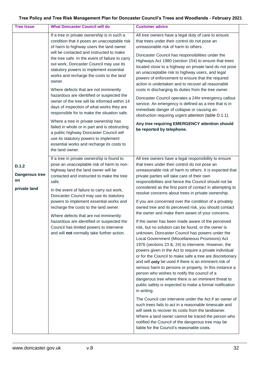| <b>Tree Issue</b>                                    | <b>What Doncaster Council will do</b>                                                                                                                                                                                                                                                                                                                                                                                                                                                                                                                                                                                                                                                                                                                                                                                                                             | <b>Customer advice</b>                                                                                                                                                                                                                                                                                                                                                                                                                                                                                                                                                                                                                                                                                                                                                                                                                                                                                                                                                                                                                                                                                                                                                                                                                                                                                                                                                                                                                                                                                                                                                                                    |
|------------------------------------------------------|-------------------------------------------------------------------------------------------------------------------------------------------------------------------------------------------------------------------------------------------------------------------------------------------------------------------------------------------------------------------------------------------------------------------------------------------------------------------------------------------------------------------------------------------------------------------------------------------------------------------------------------------------------------------------------------------------------------------------------------------------------------------------------------------------------------------------------------------------------------------|-----------------------------------------------------------------------------------------------------------------------------------------------------------------------------------------------------------------------------------------------------------------------------------------------------------------------------------------------------------------------------------------------------------------------------------------------------------------------------------------------------------------------------------------------------------------------------------------------------------------------------------------------------------------------------------------------------------------------------------------------------------------------------------------------------------------------------------------------------------------------------------------------------------------------------------------------------------------------------------------------------------------------------------------------------------------------------------------------------------------------------------------------------------------------------------------------------------------------------------------------------------------------------------------------------------------------------------------------------------------------------------------------------------------------------------------------------------------------------------------------------------------------------------------------------------------------------------------------------------|
|                                                      | If a tree in private ownership is in such a<br>condition that it poses an unacceptable risk<br>of harm to highway users the land owner<br>will be contacted and instructed to make<br>the tree safe. In the event of failure to carry<br>out work, Doncaster Council may use its<br>statutory powers to implement essential<br>works and recharge the costs to the land<br>owner.<br>Where defects that are not imminently<br>hazardous are identified or suspected the<br>owner of the tree will be informed within 14<br>days of inspection of what works they are<br>responsible for to make the situation safe.<br>Where a tree in private ownership has<br>failed in whole or in part and is obstructing<br>a public highway Doncaster Council will<br>use its statutory powers to implement<br>essential works and recharge its costs to<br>the land owner. | All tree owners have a legal duty of care to ensure<br>that trees under their control do not pose an<br>unreasonable risk of harm to others.<br>Doncaster Council has responsibilities under the<br>Highways Act 1980 (section 154) to ensure that trees<br>located close to a highway on private land do not pose<br>an unacceptable risk to highway users, and legal<br>powers of enforcement to ensure that the required<br>action is undertaken and to recover all reasonable<br>costs in discharging its duties from the tree owner.<br>Doncaster Council operates a 24hr emergency callout<br>service. An emergency is defined as a tree that is in<br>immediate danger of collapse or causing an<br>obstruction requiring urgent attention (table D.1.1).<br>Any tree requiring EMERGENCY attention should<br>be reported by telephone.                                                                                                                                                                                                                                                                                                                                                                                                                                                                                                                                                                                                                                                                                                                                                            |
| D.1.2<br><b>Dangerous tree</b><br>on<br>private land | If a tree in private ownership is found to<br>pose an unacceptable risk of harm to non-<br>highway land the land owner will be<br>contacted and instructed to make the tree<br>safe.<br>In the event of failure to carry out work,<br>Doncaster Council may use its statutory<br>powers to implement essential works and<br>recharge the costs to the land owner.<br>Where defects that are not imminently<br>hazardous are identified or suspected the<br>Council has limited powers to intervene<br>and will not normally take further action.                                                                                                                                                                                                                                                                                                                  | All tree owners have a legal responsibility to ensure<br>that trees under their control do not pose an<br>unreasonable risk of harm to others. It is expected that<br>private parties will take care of their own<br>responsibilities and hence the Council should not be<br>considered as the first point of contact in attempting to<br>resolve concerns about trees in private ownership.<br>If you are concerned over the condition of a privately<br>owned tree and its perceived risk, you should contact<br>the owner and make them aware of your concerns.<br>If the owner has been made aware of the perceived<br>risk, but no solution can be found, or the owner is<br>unknown, Doncaster Council has powers under the<br>Local Government (Miscellaneous Provisions) Act<br>1976 (sections 23 &; 24) to intervene. However, the<br>powers given in the Act to require a private individual<br>or for the Council to make safe a tree are discretionary<br>and will only be used if there is an imminent risk of<br>serious harm to persons or property. In this instance a<br>person who wishes to notify the council of a<br>dangerous tree where there is an imminent threat to<br>public safety is expected to make a formal notification<br>in writing.<br>The Council can intervene under the Act if an owner of<br>such trees fails to act in a reasonable timescale and<br>will seek to recover its costs from the landowner.<br>Where a land owner cannot be traced the person who<br>notified the Council of the dangerous tree may be<br>liable for the Council's reasonable costs. |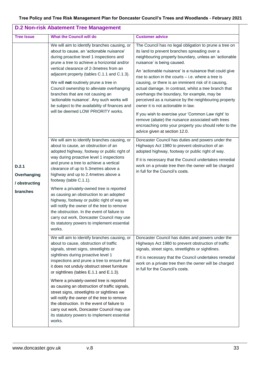| <b>D.2 Non-risk Abatement Tree Management</b>     |                                                                                                                                                                                                                                                                                                                                                                                                                                                                                                                                                                                                                                                                               |                                                                                                                                                                                                                                                                                                                                                                                                                                                                                                                                                                                                                                                                                                                                                                                       |  |
|---------------------------------------------------|-------------------------------------------------------------------------------------------------------------------------------------------------------------------------------------------------------------------------------------------------------------------------------------------------------------------------------------------------------------------------------------------------------------------------------------------------------------------------------------------------------------------------------------------------------------------------------------------------------------------------------------------------------------------------------|---------------------------------------------------------------------------------------------------------------------------------------------------------------------------------------------------------------------------------------------------------------------------------------------------------------------------------------------------------------------------------------------------------------------------------------------------------------------------------------------------------------------------------------------------------------------------------------------------------------------------------------------------------------------------------------------------------------------------------------------------------------------------------------|--|
| <b>Tree Issue</b>                                 | <b>What the Council will do</b>                                                                                                                                                                                                                                                                                                                                                                                                                                                                                                                                                                                                                                               | <b>Customer advice</b>                                                                                                                                                                                                                                                                                                                                                                                                                                                                                                                                                                                                                                                                                                                                                                |  |
|                                                   | We will aim to identify branches causing, or<br>about to cause, an 'actionable nuisance'<br>during proactive level 1 inspections and<br>prune a tree to achieve a horizontal and/or<br>vertical clearance of 2-3metres from an<br>adjacent property (tables C.1.1 and C.1.3).<br>We will not routinely prune a tree in<br>Council ownership to alleviate overhanging<br>branches that are not causing an<br>'actionable nuisance'. Any such works will<br>be subject to the availability of finances and<br>will be deemed LOW PRIORITY works.                                                                                                                                | The Council has no legal obligation to prune a tree on<br>its land to prevent branches spreading over a<br>neighbouring property boundary, unless an 'actionable<br>nuisance' is being caused.<br>An 'actionable nuisance' is a nuisance that could give<br>rise to action in the courts $-$ i.e. where a tree is<br>causing, or there is an imminent risk of it causing,<br>actual damage. In contrast, whilst a tree branch that<br>overhangs the boundary, for example, may be<br>perceived as a nuisance by the neighbouring property<br>owner it is not actionable in law.<br>If you wish to exercise your 'Common Law right' to<br>remove (abate) the nuisance associated with trees<br>encroaching onto your property you should refer to the<br>advice given at section 12.0. |  |
| D.2.1<br>Overhanging<br>/ obstructing<br>branches | We will aim to identify branches causing, or<br>about to cause, an obstruction of an<br>adopted highway, footway or public right of<br>way during proactive level 1 inspections<br>and prune a tree to achieve a vertical<br>clearance of up to 5.3 metres above a<br>highway and up to 2.4 metres above a<br>footway (table C.1.1).<br>Where a privately-owned tree is reported<br>as causing an obstruction to an adopted<br>highway, footway or public right of way we<br>will notify the owner of the tree to remove<br>the obstruction. In the event of failure to<br>carry out work, Doncaster Council may use<br>its statutory powers to implement essential<br>works. | Doncaster Council has duties and powers under the<br>Highways Act 1980 to prevent obstruction of an<br>adopted highway, footway or public right of way.<br>If it is necessary that the Council undertakes remedial<br>work on a private tree then the owner will be charged<br>in full for the Council's costs.                                                                                                                                                                                                                                                                                                                                                                                                                                                                       |  |
|                                                   | We will aim to identify branches causing, or<br>about to cause, obstruction of traffic<br>signals, street signs, streetlights or<br>sightlines during proactive level 1<br>inspections and prune a tree to ensure that<br>it does not unduly obstruct street furniture<br>or sightlines (tables E.1.1 and E.1.3).<br>Where a privately-owned tree is reported<br>as causing an obstruction of traffic signals,<br>street signs, streetlights or sightlines we<br>will notify the owner of the tree to remove<br>the obstruction. In the event of failure to<br>carry out work, Doncaster Council may use<br>its statutory powers to implement essential<br>works.             | Doncaster Council has duties and powers under the<br>Highways Act 1980 to prevent obstruction of traffic<br>signals, street signs, streetlights or sightlines.<br>If it is necessary that the Council undertakes remedial<br>work on a private tree then the owner will be charged<br>in full for the Council's costs.                                                                                                                                                                                                                                                                                                                                                                                                                                                                |  |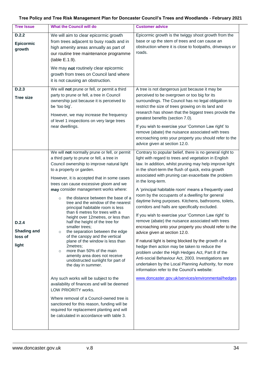| <b>Tree Issue</b>                               | <b>What the Council will do</b>                                                                                                                                                                                                                                                                                                                                                                                                                                                                                                                                                                                                                                                                                                                                                                                                                                                                                                                                                                                                                                                                                                       | <b>Customer advice</b>                                                                                                                                                                                                                                                                                                                                                                                                                                                                                                                                                                                                                                                                                                                                                                                                                                                                                                                                                                                                                                                                                                    |
|-------------------------------------------------|---------------------------------------------------------------------------------------------------------------------------------------------------------------------------------------------------------------------------------------------------------------------------------------------------------------------------------------------------------------------------------------------------------------------------------------------------------------------------------------------------------------------------------------------------------------------------------------------------------------------------------------------------------------------------------------------------------------------------------------------------------------------------------------------------------------------------------------------------------------------------------------------------------------------------------------------------------------------------------------------------------------------------------------------------------------------------------------------------------------------------------------|---------------------------------------------------------------------------------------------------------------------------------------------------------------------------------------------------------------------------------------------------------------------------------------------------------------------------------------------------------------------------------------------------------------------------------------------------------------------------------------------------------------------------------------------------------------------------------------------------------------------------------------------------------------------------------------------------------------------------------------------------------------------------------------------------------------------------------------------------------------------------------------------------------------------------------------------------------------------------------------------------------------------------------------------------------------------------------------------------------------------------|
| D.2.2<br>Epicormic<br>growth                    | We will aim to clear epicormic growth<br>from trees adjacent to busy roads and in<br>high amenity areas annually as part of<br>our routine tree maintenance programme<br>(table E.1.9).<br>We may not routinely clear epicormic<br>growth from trees on Council land where<br>it is not causing an obstruction.                                                                                                                                                                                                                                                                                                                                                                                                                                                                                                                                                                                                                                                                                                                                                                                                                       | Epicormic growth is the twiggy shoot growth from the<br>base or up the stem of trees and can cause an<br>obstruction where it is close to footpaths, driveways or<br>roads.                                                                                                                                                                                                                                                                                                                                                                                                                                                                                                                                                                                                                                                                                                                                                                                                                                                                                                                                               |
| D.2.3<br><b>Tree size</b>                       | We will not prune or fell, or permit a third<br>party to prune or fell, a tree in Council<br>ownership just because it is perceived to<br>be 'too big'.<br>However, we may increase the frequency<br>of level 1 inspections on very large trees<br>near dwellings.                                                                                                                                                                                                                                                                                                                                                                                                                                                                                                                                                                                                                                                                                                                                                                                                                                                                    | A tree is not dangerous just because it may be<br>perceived to be overgrown or too big for its<br>surroundings. The Council has no legal obligation to<br>restrict the size of trees growing on its land and<br>research has shown that the biggest trees provide the<br>greatest benefits (section 7.0).<br>If you wish to exercise your 'Common Law right' to<br>remove (abate) the nuisance associated with trees<br>encroaching onto your property you should refer to the<br>advice given at section 12.0.                                                                                                                                                                                                                                                                                                                                                                                                                                                                                                                                                                                                           |
| D.2.4<br><b>Shading and</b><br>loss of<br>light | We will not normally prune or fell, or permit<br>a third party to prune or fell, a tree in<br>Council ownership to improve natural light<br>to a property or garden.<br>However, it is accepted that in some cases<br>trees can cause excessive gloom and we<br>may consider management works where:<br>the distance between the base of a<br>$\circ$<br>tree and the window of the nearest<br>principal habitable room is less<br>than 6 metres for trees with a<br>height over 12metres, or less than<br>half the height of the tree for<br>smaller trees:<br>the separation between the edge<br>$\circ$<br>of the canopy and the vertical<br>plane of the window is less than<br>2metres;<br>more than 50% of the main<br>$\circ$<br>amenity area does not receive<br>unobstructed sunlight for part of<br>the day in summer.<br>Any such works will be subject to the<br>availability of finances and will be deemed<br>LOW PRIORITY works.<br>Where removal of a Council-owned tree is<br>sanctioned for this reason, funding will be<br>required for replacement planting and will<br>be calculated in accordance with table 3. | Contrary to popular belief, there is no general right to<br>light with regard to trees and vegetation in English<br>law. In addition, whilst pruning may help improve light<br>in the short-term the flush of quick, extra growth<br>associated with pruning can exacerbate the problem<br>in the long-term.<br>A 'principal habitable room' means a frequently used<br>room by the occupants of a dwelling for general<br>daytime living purposes. Kitchens, bathrooms, toilets,<br>corridors and halls are specifically excluded.<br>If you wish to exercise your 'Common Law right' to<br>remove (abate) the nuisance associated with trees<br>encroaching onto your property you should refer to the<br>advice given at section 12.0.<br>If natural light is being blocked by the growth of a<br>hedge then action may be taken to reduce the<br>problem under the High Hedges Act, Part 8 of the<br>Anti-social Behaviour Act, 2003. Investigations are<br>undertaken by the Local Planning Authority, for more<br>information refer to the Council's website:<br>www.doncaster.gov.uk/services/environmental/hedges |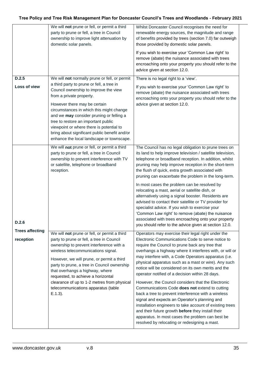|                                     | We will not prune or fell, or permit a third<br>party to prune or fell, a tree in Council<br>ownership to improve light attenuation by<br>domestic solar panels.                                                                                                                                                                                                                                                                                                         | Whilst Doncaster Council recognises the need for<br>renewable energy sources, the magnitude and range<br>of benefits provided by trees (section 7.0) far outweigh<br>those provided by domestic solar panels.<br>If you wish to exercise your 'Common Law right' to<br>remove (abate) the nuisance associated with trees<br>encroaching onto your property you should refer to the<br>advice given at section 12.0.                                                                                                                                                                                                                                                                                                                                                                                                                                                                    |
|-------------------------------------|--------------------------------------------------------------------------------------------------------------------------------------------------------------------------------------------------------------------------------------------------------------------------------------------------------------------------------------------------------------------------------------------------------------------------------------------------------------------------|----------------------------------------------------------------------------------------------------------------------------------------------------------------------------------------------------------------------------------------------------------------------------------------------------------------------------------------------------------------------------------------------------------------------------------------------------------------------------------------------------------------------------------------------------------------------------------------------------------------------------------------------------------------------------------------------------------------------------------------------------------------------------------------------------------------------------------------------------------------------------------------|
| D.2.5<br>Loss of view               | We will not normally prune or fell, or permit<br>a third party to prune or fell, a tree in<br>Council ownership to improve the view<br>from a private property.<br>However there may be certain<br>circumstances in which this might change<br>and we may consider pruning or felling a<br>tree to restore an important public<br>viewpoint or where there is potential to<br>bring about significant public benefit and/or<br>enhance the local landscape or townscape. | There is no legal right to a 'view'.<br>If you wish to exercise your 'Common Law right' to<br>remove (abate) the nuisance associated with trees<br>encroaching onto your property you should refer to the<br>advice given at section 12.0.                                                                                                                                                                                                                                                                                                                                                                                                                                                                                                                                                                                                                                             |
| D.2.6                               | We will not prune or fell, or permit a third<br>party to prune or fell, a tree in Council<br>ownership to prevent interference with TV<br>or satellite, telephone or broadband<br>reception.                                                                                                                                                                                                                                                                             | The Council has no legal obligation to prune trees on<br>its land to help improve television / satellite television,<br>telephone or broadband reception. In addition, whilst<br>pruning may help improve reception in the short-term<br>the flush of quick, extra growth associated with<br>pruning can exacerbate the problem in the long-term.<br>In most cases the problem can be resolved by<br>relocating a mast, aerial or satellite dish, or<br>alternatively using a signal booster. Residents are<br>advised to contact their satellite or TV provider for<br>specialist advice. If you wish to exercise your<br>'Common Law right' to remove (abate) the nuisance<br>associated with trees encroaching onto your property<br>you should refer to the advice given at section 12.0.                                                                                          |
| <b>Trees affecting</b><br>reception | We will not prune or fell, or permit a third<br>party to prune or fell, a tree in Council<br>ownership to prevent interference with a<br>wireless telecommunications signal.<br>However, we will prune, or permit a third<br>party to prune, a tree in Council ownership<br>that overhangs a highway, where<br>requested, to achieve a horizontal<br>clearance of up to 1-2 metres from physical<br>telecommunications apparatus (table<br>$E.1.3$ ).                    | Operators may exercise their legal right under the<br>Electronic Communications Code to serve notice to<br>require the Council to prune back any tree that<br>overhangs a highway where it interferes with, or will or<br>may interfere with, a Code Operators apparatus (i.e.<br>physical apparatus such as a mast or wire). Any such<br>notice will be considered on its own merits and the<br>operator notified of a decision within 28 days.<br>However, the Council considers that the Electronic<br>Communications Code does not extend to cutting<br>back a tree to prevent interference with a wireless<br>signal and expects an Operator's planning and<br>installation engineers to take account of existing trees<br>and their future growth before they install their<br>apparatus. In most cases the problem can best be<br>resolved by relocating or redesigning a mast. |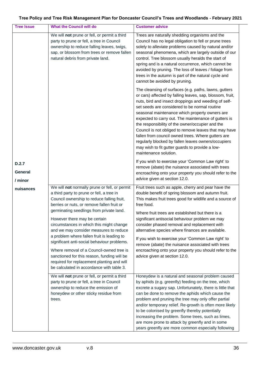| <b>Tree Issue</b>           | <b>What the Council will do</b>                                                                                                                                                                                                                                                                                                                                                                                                                                                                                                                                                                                                             | <b>Customer advice</b>                                                                                                                                                                                                                                                                                                                                                                                                                                                                                                                                                                                                                      |
|-----------------------------|---------------------------------------------------------------------------------------------------------------------------------------------------------------------------------------------------------------------------------------------------------------------------------------------------------------------------------------------------------------------------------------------------------------------------------------------------------------------------------------------------------------------------------------------------------------------------------------------------------------------------------------------|---------------------------------------------------------------------------------------------------------------------------------------------------------------------------------------------------------------------------------------------------------------------------------------------------------------------------------------------------------------------------------------------------------------------------------------------------------------------------------------------------------------------------------------------------------------------------------------------------------------------------------------------|
|                             | We will not prune or fell, or permit a third<br>party to prune or fell, a tree in Council<br>ownership to reduce falling leaves, twigs,<br>sap, or blossom from trees or remove fallen<br>natural debris from private land.                                                                                                                                                                                                                                                                                                                                                                                                                 | Trees are naturally shedding organisms and the<br>Council has no legal obligation to fell or prune trees<br>solely to alleviate problems caused by natural and/or<br>seasonal phenomena, which are largely outside of our<br>control. Tree blossom usually heralds the start of<br>spring and is a natural occurrence, which cannot be<br>avoided by pruning. The loss of leaves / foliage from<br>trees in the autumn is part of the natural cycle and<br>cannot be avoided by pruning.                                                                                                                                                    |
|                             |                                                                                                                                                                                                                                                                                                                                                                                                                                                                                                                                                                                                                                             | The cleansing of surfaces (e.g. paths, lawns, gutters<br>or cars) affected by falling leaves, sap, blossom, fruit,<br>nuts, bird and insect droppings and weeding of self-<br>set seeds are considered to be normal routine<br>seasonal maintenance which property owners are<br>expected to carry out. The maintenance of gutters is<br>the responsibility of the owner/occupier and the<br>Council is not obliged to remove leaves that may have<br>fallen from council owned trees. Where gutters are<br>regularly blocked by fallen leaves owners/occupiers<br>may wish to fit gutter guards to provide a low-<br>maintenance solution. |
| D.2.7<br>General<br>/ minor |                                                                                                                                                                                                                                                                                                                                                                                                                                                                                                                                                                                                                                             | If you wish to exercise your 'Common Law right' to<br>remove (abate) the nuisance associated with trees<br>encroaching onto your property you should refer to the<br>advice given at section 12.0.                                                                                                                                                                                                                                                                                                                                                                                                                                          |
| nuisances                   | We will not normally prune or fell, or permit<br>a third party to prune or fell, a tree in<br>Council ownership to reduce falling fruit,<br>berries or nuts, or remove fallen fruit or<br>germinating seedlings from private land.<br>However there may be certain<br>circumstances in which this might change<br>and we may consider measures to reduce<br>a problem where fallen fruit is leading to<br>significant anti-social behaviour problems.<br>Where removal of a Council-owned tree is<br>sanctioned for this reason, funding will be<br>required for replacement planting and will<br>be calculated in accordance with table 3. | Fruit trees such as apple, cherry and pear have the<br>double benefit of spring blossom and autumn fruit.<br>This makes fruit trees good for wildlife and a source of<br>free food.<br>Where fruit trees are established but there is a<br>significant antisocial behaviour problem we may<br>consider phased removal and replacement with<br>alternative species where finances are available.<br>If you wish to exercise your 'Common Law right' to<br>remove (abate) the nuisance associated with trees<br>encroaching onto your property you should refer to the<br>advice given at section 12.0.                                       |
|                             | We will not prune or fell, or permit a third<br>party to prune or fell, a tree in Council<br>ownership to reduce the emission of<br>honeydew or other sticky residue from<br>trees.                                                                                                                                                                                                                                                                                                                                                                                                                                                         | Honeydew is a natural and seasonal problem caused<br>by aphids (e.g. greenfly) feeding on the tree, which<br>excrete a sugary sap. Unfortunately, there is little that<br>can be done to remove the aphids which cause the<br>problem and pruning the tree may only offer partial<br>and/or temporary relief. Re-growth is often more likely<br>to be colonised by greenfly thereby potentially<br>increasing the problem. Some trees, such as limes,<br>are more prone to attack by greenfly and in some<br>years greenfly are more common especially following                                                                            |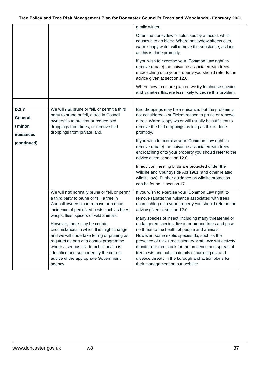|                         |                                                                                                                                                                                                                                                                                                                                              | a mild winter.                                                                                                                                                                                                                                                                                                                                                                                                                               |
|-------------------------|----------------------------------------------------------------------------------------------------------------------------------------------------------------------------------------------------------------------------------------------------------------------------------------------------------------------------------------------|----------------------------------------------------------------------------------------------------------------------------------------------------------------------------------------------------------------------------------------------------------------------------------------------------------------------------------------------------------------------------------------------------------------------------------------------|
|                         |                                                                                                                                                                                                                                                                                                                                              | Often the honeydew is colonised by a mould, which<br>causes it to go black. Where honeydew affects cars,<br>warm soapy water will remove the substance, as long<br>as this is done promptly.                                                                                                                                                                                                                                                 |
|                         |                                                                                                                                                                                                                                                                                                                                              | If you wish to exercise your 'Common Law right' to<br>remove (abate) the nuisance associated with trees<br>encroaching onto your property you should refer to the<br>advice given at section 12.0.                                                                                                                                                                                                                                           |
|                         |                                                                                                                                                                                                                                                                                                                                              | Where new trees are planted we try to choose species<br>and varieties that are less likely to cause this problem.                                                                                                                                                                                                                                                                                                                            |
|                         |                                                                                                                                                                                                                                                                                                                                              |                                                                                                                                                                                                                                                                                                                                                                                                                                              |
| D.2.7<br><b>General</b> | We will not prune or fell, or permit a third<br>party to prune or fell, a tree in Council<br>ownership to prevent or reduce bird                                                                                                                                                                                                             | Bird droppings may be a nuisance, but the problem is<br>not considered a sufficient reason to prune or remove<br>a tree. Warm soapy water will usually be sufficient to                                                                                                                                                                                                                                                                      |
| / minor                 | droppings from trees, or remove bird                                                                                                                                                                                                                                                                                                         | remove the bird droppings as long as this is done                                                                                                                                                                                                                                                                                                                                                                                            |
| nuisances               | droppings from private land.                                                                                                                                                                                                                                                                                                                 | promptly.                                                                                                                                                                                                                                                                                                                                                                                                                                    |
| (continued)             |                                                                                                                                                                                                                                                                                                                                              | If you wish to exercise your 'Common Law right' to<br>remove (abate) the nuisance associated with trees<br>encroaching onto your property you should refer to the<br>advice given at section 12.0.                                                                                                                                                                                                                                           |
|                         |                                                                                                                                                                                                                                                                                                                                              | In addition, nesting birds are protected under the<br>Wildlife and Countryside Act 1981 (and other related<br>wildlife law). Further guidance on wildlife protection<br>can be found in section 17.                                                                                                                                                                                                                                          |
|                         | We will not normally prune or fell, or permit<br>a third party to prune or fell, a tree in<br>Council ownership to remove or reduce<br>incidence of perceived pests such as bees,                                                                                                                                                            | If you wish to exercise your 'Common Law right' to<br>remove (abate) the nuisance associated with trees<br>encroaching onto your property you should refer to the<br>advice given at section 12.0.                                                                                                                                                                                                                                           |
|                         | wasps, flies, spiders or wild animals.<br>However, there may be certain<br>circumstances in which this might change<br>and we will undertake felling or pruning as<br>required as part of a control programme<br>where a serious risk to public health is<br>identified and supported by the current<br>advice of the appropriate Government | Many species of insect, including many threatened or<br>endangered species, live in or around trees and pose<br>no threat to the health of people and animals.<br>However, some exotic species do, such as the<br>presence of Oak Processionary Moth. We will actively<br>monitor our tree stock for the presence and spread of<br>tree pests and publish details of current pest and<br>disease threats in the borough and action plans for |
|                         | agency.                                                                                                                                                                                                                                                                                                                                      | their management on our website.                                                                                                                                                                                                                                                                                                                                                                                                             |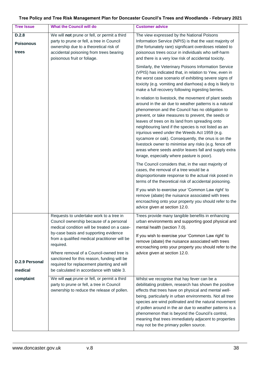#### **Tree Issue What the Council will do Customer advice D.2.8 Poisonous trees** We will **not** prune or fell, or permit a third party to prune or fell, a tree in Council ownership due to a theoretical risk of accidental poisoning from trees bearing poisonous fruit or foliage. The view expressed by the National Poisons Information Service (NPIS) is that the vast majority of (the fortunately rare) significant overdoses related to poisonous trees occur in individuals who self-harm and there is a very low risk of accidental toxicity. Similarly, the Veterinary Poisons Information Service (VPIS) has indicated that, in relation to Yew, even in the worst case scenario of exhibiting severe signs of toxicity (e.g. vomiting and diarrhoea) a dog is likely to make a full recovery following ingesting berries. In relation to livestock, the movement of plant seeds around in the air due to weather patterns is a natural phenomenon and the Council has no obligation to prevent, or take measures to prevent, the seeds or leaves of trees on its land from spreading onto neighbouring land if the species is not listed as an injurious weed under the Weeds Act 1959 (e.g. sycamore or oak). Consequently, the onus is on the livestock owner to minimise any risks (e.g. fence off areas where seeds and/or leaves fall and supply extra forage, especially where pasture is poor). The Council considers that, in the vast majority of cases, the removal of a tree would be a disproportionate response to the actual risk posed in terms of the theoretical risk of accidental poisoning. If you wish to exercise your 'Common Law right' to remove (abate) the nuisance associated with trees encroaching onto your property you should refer to the advice given at section 12.0. **D.2.9 Personal medical complaint** Requests to undertake work to a tree in Council ownership because of a personal medical condition will be treated on a caseby-case basis and supporting evidence from a qualified medical practitioner will be required. Where removal of a Council-owned tree is sanctioned for this reason, funding will be required for replacement planting and will be calculated in accordance with table 3. Trees provide many tangible benefits in enhancing urban environments and supporting good physical and mental health (section 7.0). If you wish to exercise your 'Common Law right' to remove (abate) the nuisance associated with trees encroaching onto your property you should refer to the advice given at section 12.0. We will **not** prune or fell, or permit a third party to prune or fell, a tree in Council ownership to reduce the release of pollen. Whilst we recognise that hay fever can be a debilitating problem, research has shown the positive effects that trees have on physical and mental wellbeing, particularly in urban environments. Not all tree species are wind pollinated and the natural movement of pollen around in the air due to weather patterns is a phenomenon that is beyond the Council's control, meaning that trees immediately adjacent to properties may not be the primary pollen source.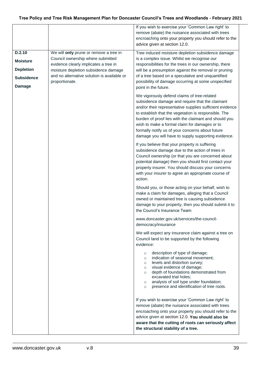|                                                                                     |                                                                                                                                                                                                                               | If you wish to exercise your 'Common Law right' to<br>remove (abate) the nuisance associated with trees<br>encroaching onto your property you should refer to the<br>advice given at section 12.0.                                                                                                                                                                                                                                      |
|-------------------------------------------------------------------------------------|-------------------------------------------------------------------------------------------------------------------------------------------------------------------------------------------------------------------------------|-----------------------------------------------------------------------------------------------------------------------------------------------------------------------------------------------------------------------------------------------------------------------------------------------------------------------------------------------------------------------------------------------------------------------------------------|
| D.2.10<br><b>Moisture</b><br><b>Depletion</b><br><b>Subsidence</b><br><b>Damage</b> | We will only prune or remove a tree in<br>Council ownership where submitted<br>evidence clearly implicates a tree in<br>moisture depletion subsidence damage<br>and no alternative solution is available or<br>proportionate. | Tree induced moisture depletion subsidence damage<br>is a complex issue. Whilst we recognise our<br>responsibilities for the trees in our ownership, there<br>will be a presumption against the removal or pruning<br>of a tree based on a speculative and unquantified<br>possibility of damage occurring at some unspecified<br>point in the future.                                                                                  |
|                                                                                     |                                                                                                                                                                                                                               | We vigorously defend claims of tree-related<br>subsidence damage and require that the claimant<br>and/or their representative supplies sufficient evidence<br>to establish that the vegetation is responsible. The<br>burden of proof lies with the claimant and should you<br>wish to make a formal claim for damages or to<br>formally notify us of your concerns about future<br>damage you will have to supply supporting evidence. |
|                                                                                     |                                                                                                                                                                                                                               | If you believe that your property is suffering<br>subsidence damage due to the action of trees in<br>Council ownership (or that you are concerned about<br>potential damage) then you should first contact your<br>property insurer. You should discuss your concerns<br>with your insurer to agree an appropriate course of<br>action.                                                                                                 |
|                                                                                     |                                                                                                                                                                                                                               | Should you, or those acting on your behalf, wish to<br>make a claim for damages, alleging that a Council<br>owned or maintained tree is causing subsidence<br>damage to your property, then you should submit it to<br>the Council's Insurance Team:                                                                                                                                                                                    |
|                                                                                     |                                                                                                                                                                                                                               | www.doncaster.gov.uk/services/the-council-<br>democracy/insurance                                                                                                                                                                                                                                                                                                                                                                       |
|                                                                                     |                                                                                                                                                                                                                               | We will expect any insurance claim against a tree on<br>Council land to be supported by the following<br>evidence:                                                                                                                                                                                                                                                                                                                      |
|                                                                                     |                                                                                                                                                                                                                               | description of type of damage;<br>$\circ$<br>indication of seasonal movement;<br>$\circ$<br>levels and distortion survey;<br>$\circ$<br>visual evidence of damage;<br>$\circ$<br>depth of foundations demonstrated from<br>$\circ$<br>excavated trial holes;<br>analysis of soil type under foundation;<br>$\circ$<br>presence and identification of tree roots.<br>$\circ$                                                             |
|                                                                                     |                                                                                                                                                                                                                               | If you wish to exercise your 'Common Law right' to<br>remove (abate) the nuisance associated with trees<br>encroaching onto your property you should refer to the<br>advice given at section 12.0. You should also be<br>aware that the cutting of roots can seriously affect<br>the structural stability of a tree.                                                                                                                    |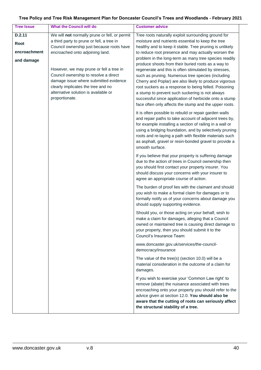| <b>Tree Issue</b> | <b>What the Council will do</b>                                                                                                                                                                                           | <b>Customer advice</b>                                                                                                                                                                                                                                                                                                                                                                              |
|-------------------|---------------------------------------------------------------------------------------------------------------------------------------------------------------------------------------------------------------------------|-----------------------------------------------------------------------------------------------------------------------------------------------------------------------------------------------------------------------------------------------------------------------------------------------------------------------------------------------------------------------------------------------------|
| D.2.11            | We will not normally prune or fell, or permit                                                                                                                                                                             | Tree roots naturally exploit surrounding ground for                                                                                                                                                                                                                                                                                                                                                 |
| <b>Root</b>       | a third party to prune or fell, a tree in                                                                                                                                                                                 | moisture and nutrients essential to keep the tree                                                                                                                                                                                                                                                                                                                                                   |
| encroachment      | Council ownership just because roots have<br>encroached onto adjoining land.                                                                                                                                              | healthy and to keep it stable. Tree pruning is unlikely<br>to reduce root presence and may actually worsen the                                                                                                                                                                                                                                                                                      |
|                   |                                                                                                                                                                                                                           | problem in the long-term as many tree species readily                                                                                                                                                                                                                                                                                                                                               |
| and damage        |                                                                                                                                                                                                                           | produce shoots from their buried roots as a way to                                                                                                                                                                                                                                                                                                                                                  |
|                   | However, we may prune or fell a tree in<br>Council ownership to resolve a direct<br>damage issue where submitted evidence<br>clearly implicates the tree and no<br>alternative solution is available or<br>proportionate. | regenerate and this is often stimulated by stresses,<br>such as pruning. Numerous tree species (including<br>Cherry and Poplar) are also likely to produce vigorous<br>root suckers as a response to being felled. Poisoning<br>a stump to prevent such suckering is not always<br>successful since application of herbicide onto a stump<br>face often only affects the stump and the upper roots. |
|                   |                                                                                                                                                                                                                           | It is often possible to rebuild or repair garden walls<br>and repair paths to take account of adjacent trees by,<br>for example installing a section of railing in a wall or<br>using a bridging foundation, and by selectively pruning<br>roots and re-laying a path with flexible materials such<br>as asphalt, gravel or resin-bonded gravel to provide a<br>smooth surface.                     |
|                   |                                                                                                                                                                                                                           | If you believe that your property is suffering damage<br>due to the action of trees in Council ownership then<br>you should first contact your property insurer. You<br>should discuss your concerns with your insurer to<br>agree an appropriate course of action.                                                                                                                                 |
|                   |                                                                                                                                                                                                                           | The burden of proof lies with the claimant and should<br>you wish to make a formal claim for damages or to<br>formally notify us of your concerns about damage you<br>should supply supporting evidence.                                                                                                                                                                                            |
|                   |                                                                                                                                                                                                                           | Should you, or those acting on your behalf, wish to<br>make a claim for damages, alleging that a Council<br>owned or maintained tree is causing direct damage to<br>your property, then you should submit it to the<br>Council's Insurance Team:                                                                                                                                                    |
|                   |                                                                                                                                                                                                                           | www.doncaster.gov.uk/services/the-council-<br>democracy/insurance                                                                                                                                                                                                                                                                                                                                   |
|                   |                                                                                                                                                                                                                           | The value of the tree(s) (section 10.0) will be a<br>material consideration in the outcome of a claim for<br>damages.                                                                                                                                                                                                                                                                               |
|                   |                                                                                                                                                                                                                           | If you wish to exercise your 'Common Law right' to<br>remove (abate) the nuisance associated with trees<br>encroaching onto your property you should refer to the<br>advice given at section 12.0. You should also be<br>aware that the cutting of roots can seriously affect<br>the structural stability of a tree.                                                                                |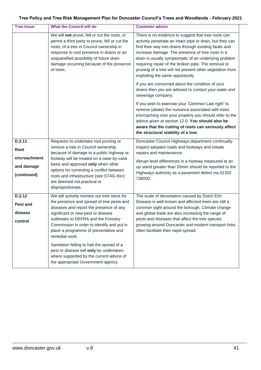| <b>Tree Issue</b> | <b>What the Council will do</b>                                                                                                                                                                                                                                                              | <b>Customer advice</b>                                                                                                                                                                                                                                                                                                                                                                                                                        |
|-------------------|----------------------------------------------------------------------------------------------------------------------------------------------------------------------------------------------------------------------------------------------------------------------------------------------|-----------------------------------------------------------------------------------------------------------------------------------------------------------------------------------------------------------------------------------------------------------------------------------------------------------------------------------------------------------------------------------------------------------------------------------------------|
|                   | We will not prune, fell or cut the roots, or<br>permit a third party to prune, fell or cut the<br>roots, of a tree in Council ownership in<br>response to root presence in drains or an<br>unquantified possibility of future drain<br>damage occurring because of the presence<br>of trees. | There is no evidence to suggest that tree roots can<br>actively penetrate an intact pipe or drain, but they can<br>find their way into drains through existing faults and<br>increase damage. The presence of tree roots in a<br>drain is usually symptomatic of an underlying problem<br>requiring repair of the broken pipe. The removal or<br>pruning of a tree will not prevent other vegetation from<br>exploiting the same opportunity. |
|                   |                                                                                                                                                                                                                                                                                              | If you are concerned about the condition of your<br>drains then you are advised to contact your water and<br>sewerage company.                                                                                                                                                                                                                                                                                                                |
|                   |                                                                                                                                                                                                                                                                                              | If you wish to exercise your 'Common Law right' to<br>remove (abate) the nuisance associated with trees<br>encroaching onto your property you should refer to the<br>advice given at section 12.0. You should also be<br>aware that the cutting of roots can seriously affect<br>the structural stability of a tree.                                                                                                                          |
| D.2.11            | Requests to undertake root pruning or                                                                                                                                                                                                                                                        | Doncaster Council Highways department continually                                                                                                                                                                                                                                                                                                                                                                                             |
| Root              | remove a tree in Council ownership<br>because of damage to a public highway or                                                                                                                                                                                                               | inspect adopted roads and footways and initiate<br>repairs and maintenance.                                                                                                                                                                                                                                                                                                                                                                   |
| encroachment      | footway will be treated on a case-by-case                                                                                                                                                                                                                                                    |                                                                                                                                                                                                                                                                                                                                                                                                                                               |
| and damage        | basis and approved only when other                                                                                                                                                                                                                                                           | Abrupt level differences in a footway measured at an<br>up stand greater than 20mm should be reported to the                                                                                                                                                                                                                                                                                                                                  |
| (continued)       | options for correcting a conflict between<br>roots and infrastructure (see STAG doc)                                                                                                                                                                                                         | Highways authority as a pavement defect via 01302                                                                                                                                                                                                                                                                                                                                                                                             |
|                   | are deemed not practical or                                                                                                                                                                                                                                                                  | 736000.                                                                                                                                                                                                                                                                                                                                                                                                                                       |
|                   | disproportionate.                                                                                                                                                                                                                                                                            |                                                                                                                                                                                                                                                                                                                                                                                                                                               |
| D.2.12            | We will actively monitor our tree stock for                                                                                                                                                                                                                                                  | The scale of devastation caused by Dutch Elm                                                                                                                                                                                                                                                                                                                                                                                                  |
| Pest and          | the presence and spread of tree pests and<br>diseases and report the presence of any                                                                                                                                                                                                         | Disease is well known and affected trees are still a<br>common sight around the borough. Climate change                                                                                                                                                                                                                                                                                                                                       |
| disease           | significant or new pest or disease                                                                                                                                                                                                                                                           | and global trade are also increasing the range of                                                                                                                                                                                                                                                                                                                                                                                             |
| control           | outbreaks to DEFRA and the Forestry                                                                                                                                                                                                                                                          | pests and diseases that affect the tree species                                                                                                                                                                                                                                                                                                                                                                                               |
|                   | Commission in order to identify and put in<br>place a programme of preventative and<br>remedial work.                                                                                                                                                                                        | growing around Doncaster and modern transport links<br>often facilitate their rapid spread.                                                                                                                                                                                                                                                                                                                                                   |
|                   | Sanitation felling to halt the spread of a<br>pest or disease will only be undertaken<br>where supported by the current advice of<br>the appropriate Government agency.                                                                                                                      |                                                                                                                                                                                                                                                                                                                                                                                                                                               |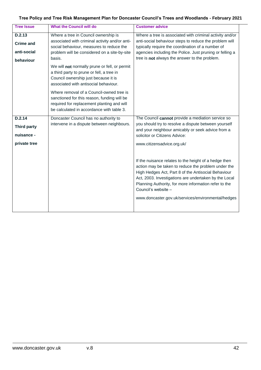| Tree Policy and Tree Risk Management Plan for Doncaster Council's Trees and Woodlands - February 2021 |  |
|-------------------------------------------------------------------------------------------------------|--|
|-------------------------------------------------------------------------------------------------------|--|

| <b>Tree Issue</b>  | <b>What the Council will do</b>                                                                                                                                                    | <b>Customer advice</b>                                                                                                                                                                                                                                                                                                                                             |
|--------------------|------------------------------------------------------------------------------------------------------------------------------------------------------------------------------------|--------------------------------------------------------------------------------------------------------------------------------------------------------------------------------------------------------------------------------------------------------------------------------------------------------------------------------------------------------------------|
| D.2.13             | Where a tree in Council ownership is                                                                                                                                               | Where a tree is associated with criminal activity and/or                                                                                                                                                                                                                                                                                                           |
| <b>Crime and</b>   | associated with criminal activity and/or anti-                                                                                                                                     | anti-social behaviour steps to reduce the problem will                                                                                                                                                                                                                                                                                                             |
| anti-social        | social behaviour, measures to reduce the<br>problem will be considered on a site-by-site                                                                                           | typically require the coordination of a number of<br>agencies including the Police. Just pruning or felling a                                                                                                                                                                                                                                                      |
| behaviour          | basis.                                                                                                                                                                             | tree is not always the answer to the problem.                                                                                                                                                                                                                                                                                                                      |
|                    | We will not normally prune or fell, or permit<br>a third party to prune or fell, a tree in<br>Council ownership just because it is<br>associated with antisocial behaviour.        |                                                                                                                                                                                                                                                                                                                                                                    |
|                    | Where removal of a Council-owned tree is<br>sanctioned for this reason, funding will be<br>required for replacement planting and will<br>be calculated in accordance with table 3. |                                                                                                                                                                                                                                                                                                                                                                    |
| D.2.14             | Doncaster Council has no authority to                                                                                                                                              | The Council cannot provide a mediation service so                                                                                                                                                                                                                                                                                                                  |
| <b>Third party</b> | intervene in a dispute between neighbours.                                                                                                                                         | you should try to resolve a dispute between yourself<br>and your neighbour amicably or seek advice from a                                                                                                                                                                                                                                                          |
| nuisance -         |                                                                                                                                                                                    | solicitor or Citizens Advice:                                                                                                                                                                                                                                                                                                                                      |
| private tree       |                                                                                                                                                                                    | www.citizensadvice.org.uk/                                                                                                                                                                                                                                                                                                                                         |
|                    |                                                                                                                                                                                    | If the nuisance relates to the height of a hedge then<br>action may be taken to reduce the problem under the<br>High Hedges Act, Part 8 of the Antisocial Behaviour<br>Act, 2003. Investigations are undertaken by the Local<br>Planning Authority, for more information refer to the<br>Council's website -<br>www.doncaster.gov.uk/services/environmental/hedges |
|                    |                                                                                                                                                                                    |                                                                                                                                                                                                                                                                                                                                                                    |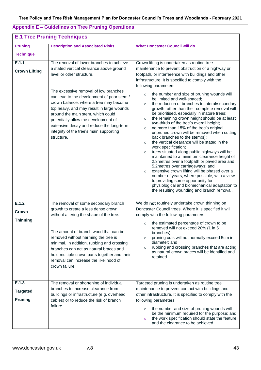## **Appendix E – Guidelines on Tree Pruning Operations**

| <b>E.1 Tree Pruning Techniques</b>         |                                                                                                                                                                                                                                                                                                                                                                                                                                                                                   |                                                                                                                                                                                                                                                                                                                                                                                                                                                                                                                                                                                                                                                                                                                                                                                                                                                                                                                                                                                                                                                                                                                                                                                                                                                                             |  |
|--------------------------------------------|-----------------------------------------------------------------------------------------------------------------------------------------------------------------------------------------------------------------------------------------------------------------------------------------------------------------------------------------------------------------------------------------------------------------------------------------------------------------------------------|-----------------------------------------------------------------------------------------------------------------------------------------------------------------------------------------------------------------------------------------------------------------------------------------------------------------------------------------------------------------------------------------------------------------------------------------------------------------------------------------------------------------------------------------------------------------------------------------------------------------------------------------------------------------------------------------------------------------------------------------------------------------------------------------------------------------------------------------------------------------------------------------------------------------------------------------------------------------------------------------------------------------------------------------------------------------------------------------------------------------------------------------------------------------------------------------------------------------------------------------------------------------------------|--|
| <b>Pruning</b>                             | <b>Description and Associated Risks</b>                                                                                                                                                                                                                                                                                                                                                                                                                                           | <b>What Doncaster Council will do</b>                                                                                                                                                                                                                                                                                                                                                                                                                                                                                                                                                                                                                                                                                                                                                                                                                                                                                                                                                                                                                                                                                                                                                                                                                                       |  |
| <b>Technique</b>                           |                                                                                                                                                                                                                                                                                                                                                                                                                                                                                   |                                                                                                                                                                                                                                                                                                                                                                                                                                                                                                                                                                                                                                                                                                                                                                                                                                                                                                                                                                                                                                                                                                                                                                                                                                                                             |  |
| E.1.1<br><b>Crown Lifting</b>              | The removal of lower branches to achieve<br>a stated vertical clearance above ground<br>level or other structure.<br>The excessive removal of low branches<br>can lead to the development of poor stem /<br>crown balance, where a tree may become<br>top heavy, and may result in large wounds<br>around the main stem, which could<br>potentially allow the development of<br>extensive decay and reduce the long-term<br>integrity of the tree's main supporting<br>structure. | Crown lifting is undertaken as routine tree<br>maintenance to prevent obstruction of a highway or<br>footpath, or interference with buildings and other<br>infrastructure. It is specified to comply with the<br>following parameters:<br>the number and size of pruning wounds will<br>$\circ$<br>be limited and well-spaced;<br>the reduction of branches to lateral/secondary<br>$\circ$<br>growth rather than their complete removal will<br>be prioritised, especially in mature trees;<br>the remaining crown height should be at least<br>$\circ$<br>two-thirds of the tree's overall height;<br>no more than 15% of the tree's original<br>$\circ$<br>unpruned crown will be removed when cutting<br>back branches to the stem(s);<br>the vertical clearance will be stated in the<br>$\circ$<br>work specification;<br>trees situated along public highways will be<br>$\circ$<br>maintained to a minimum clearance height of<br>2.3 metres over a footpath or paved area and<br>5.2 metres over carriageways; and<br>extensive crown lifting will be phased over a<br>$\circ$<br>number of years, where possible, with a view<br>to providing some opportunity for<br>physiological and biomechanical adaptation to<br>the resulting wounding and branch removal. |  |
| E.1.2<br>Crown<br><b>Thinning</b>          | The removal of some secondary branch<br>growth to create a less dense crown<br>without altering the shape of the tree.<br>The amount of branch wood that can be<br>removed without harming the tree is<br>minimal. In addition, rubbing and crossing<br>branches can act as natural braces and<br>hold multiple crown parts together and their<br>removal can increase the likelihood of<br>crown failure.                                                                        | We do not routinely undertake crown thinning on<br>Doncaster Council trees. Where it is specified it will<br>comply with the following parameters:<br>the estimated percentage of crown to be<br>removed will not exceed 20% (1 in 5<br>branches);<br>pruning cuts will not normally exceed 5cm in<br>$\circ$<br>diameter; and<br>rubbing and crossing branches that are acting<br>$\circ$<br>as natural crown braces will be identified and<br>retained.                                                                                                                                                                                                                                                                                                                                                                                                                                                                                                                                                                                                                                                                                                                                                                                                                   |  |
| E.1.3<br><b>Targeted</b><br><b>Pruning</b> | The removal or shortening of individual<br>branches to increase clearance from<br>buildings or infrastructure (e.g. overhead<br>cables) or to reduce the risk of branch<br>failure.                                                                                                                                                                                                                                                                                               | Targeted pruning is undertaken as routine tree<br>maintenance to prevent contact with buildings and<br>other infrastructure. It is specified to comply with the<br>following parameters:<br>the number and size of pruning wounds will<br>$\circ$<br>be the minimum required for the purpose; and<br>the work specification should state the feature<br>$\circ$<br>and the clearance to be achieved.                                                                                                                                                                                                                                                                                                                                                                                                                                                                                                                                                                                                                                                                                                                                                                                                                                                                        |  |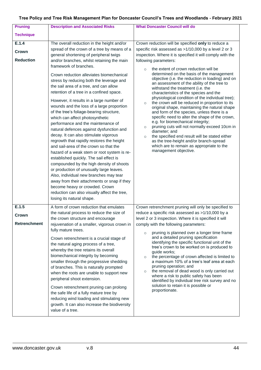| <b>Pruning</b>                        | <b>Description and Associated Risks</b>                                                                                                                                                                                                                                                                                                                                                                                                                                                                                                                                                                                                                                                                                                                                                                                                                                                                                                                                                                                                                                                                                                                                       | <b>What Doncaster Council will do</b>                                                                                                                                                                                                                                                                                                                                                                                                                                                                                                                                                                                                                                                                                                                                                                                                                                                                                                                                                                                                                  |
|---------------------------------------|-------------------------------------------------------------------------------------------------------------------------------------------------------------------------------------------------------------------------------------------------------------------------------------------------------------------------------------------------------------------------------------------------------------------------------------------------------------------------------------------------------------------------------------------------------------------------------------------------------------------------------------------------------------------------------------------------------------------------------------------------------------------------------------------------------------------------------------------------------------------------------------------------------------------------------------------------------------------------------------------------------------------------------------------------------------------------------------------------------------------------------------------------------------------------------|--------------------------------------------------------------------------------------------------------------------------------------------------------------------------------------------------------------------------------------------------------------------------------------------------------------------------------------------------------------------------------------------------------------------------------------------------------------------------------------------------------------------------------------------------------------------------------------------------------------------------------------------------------------------------------------------------------------------------------------------------------------------------------------------------------------------------------------------------------------------------------------------------------------------------------------------------------------------------------------------------------------------------------------------------------|
| <b>Technique</b>                      |                                                                                                                                                                                                                                                                                                                                                                                                                                                                                                                                                                                                                                                                                                                                                                                                                                                                                                                                                                                                                                                                                                                                                                               |                                                                                                                                                                                                                                                                                                                                                                                                                                                                                                                                                                                                                                                                                                                                                                                                                                                                                                                                                                                                                                                        |
| E.1.4<br>Crown<br><b>Reduction</b>    | The overall reduction in the height and/or<br>spread of the crown of a tree by means of a<br>general shortening of peripheral twigs<br>and/or branches, whilst retaining the main<br>framework of branches.<br>Crown reduction alleviates biomechanical<br>stress by reducing both the leverage and<br>the sail area of a tree, and can allow<br>retention of a tree in a confined space.<br>However, it results in a large number of<br>wounds and the loss of a large proportion<br>of the tree's foliage-bearing structure,<br>which can affect photosynthetic<br>performance and the maintenance of<br>natural defences against dysfunction and<br>decay. It can also stimulate vigorous<br>regrowth that rapidly restores the height<br>and sail-area of the crown so that the<br>hazard of a weak stem or root system is re-<br>established quickly. The sail effect is<br>compounded by the high density of shoots<br>or production of unusually large leaves.<br>Also, individual new branches may tear<br>away from their attachments or snap if they<br>become heavy or crowded. Crown<br>reduction can also visually affect the tree,<br>losing its natural shape. | Crown reduction will be specified only to reduce a<br>specific risk assessed as >1/10,000 by a level 2 or 3<br>inspection. Where it is specified it will comply with the<br>following parameters:<br>the extent of crown reduction will be<br>$\circ$<br>determined on the basis of the management<br>objective (i.e. the reduction in loading) and on<br>an assessment of the ability of the tree to<br>withstand the treatment (i.e. the<br>characteristics of the species and the<br>physiological condition of the individual tree);<br>the crown will be reduced in proportion to its<br>$\circ$<br>original shape, maintaining the natural shape<br>and form of the species, unless there is a<br>specific need to alter the shape of the crown,<br>e.g. for biomechanical integrity;<br>pruning cuts will not normally exceed 10cm in<br>$\circ$<br>diameter; and<br>the specified end result will be stated either<br>$\circ$<br>as the tree-height and/or branch-spread<br>which are to remain as appropriate to the<br>management objective. |
| E.1.5<br>Crown<br><b>Retrenchment</b> | A form of crown reduction that emulates<br>the natural process to reduce the size of<br>the crown structure and encourage<br>rejuvenation of a smaller, vigorous crown in<br>fully mature trees.<br>Crown retrenchment is a crucial stage of<br>the natural aging process of a tree,<br>whereby the tree retains its overall<br>biomechanical integrity by becoming<br>smaller through the progressive shedding<br>of branches. This is naturally prompted<br>when the roots are unable to support new<br>peripheral shoot extension.<br>Crown retrenchment pruning can prolong<br>the safe life of a fully mature tree by<br>reducing wind loading and stimulating new<br>growth. It can also increase the biodiversity<br>value of a tree.                                                                                                                                                                                                                                                                                                                                                                                                                                  | Crown retrenchment pruning will only be specified to<br>reduce a specific risk assessed as >1/10,000 by a<br>level 2 or 3 inspection. Where it is specified it will<br>comply with the following parameters:<br>pruning is planned over a longer time frame<br>$\circ$<br>and a detailed pruning specification<br>identifying the specific functional unit of the<br>tree's crown to be worked on is produced to<br>guide works;<br>the percentage of crown affected is limited to<br>$\circ$<br>a maximum 10% of a tree's leaf area at each<br>pruning operation; and<br>the removal of dead wood is only carried out<br>$\circ$<br>where a risk to public safety has been<br>identified by individual tree risk survey and no<br>solution to retain it is possible or<br>proportionate.                                                                                                                                                                                                                                                              |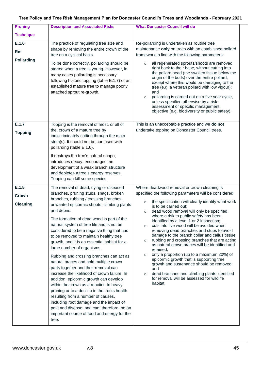| <b>Pruning</b>                    | <b>Description and Associated Risks</b>                                                                                                                                                                                                                                                                                                                                                                                                                                                                                                                                                                                                                                                                                                                                                                                                                                                                                                                            | <b>What Doncaster Council will do</b>                                                                                                                                                                                                                                                                                                                                                                                                                                                                                                                                                                                                                                                                                                                                                                                                                                                                    |
|-----------------------------------|--------------------------------------------------------------------------------------------------------------------------------------------------------------------------------------------------------------------------------------------------------------------------------------------------------------------------------------------------------------------------------------------------------------------------------------------------------------------------------------------------------------------------------------------------------------------------------------------------------------------------------------------------------------------------------------------------------------------------------------------------------------------------------------------------------------------------------------------------------------------------------------------------------------------------------------------------------------------|----------------------------------------------------------------------------------------------------------------------------------------------------------------------------------------------------------------------------------------------------------------------------------------------------------------------------------------------------------------------------------------------------------------------------------------------------------------------------------------------------------------------------------------------------------------------------------------------------------------------------------------------------------------------------------------------------------------------------------------------------------------------------------------------------------------------------------------------------------------------------------------------------------|
| <b>Technique</b>                  |                                                                                                                                                                                                                                                                                                                                                                                                                                                                                                                                                                                                                                                                                                                                                                                                                                                                                                                                                                    |                                                                                                                                                                                                                                                                                                                                                                                                                                                                                                                                                                                                                                                                                                                                                                                                                                                                                                          |
| E.1.6<br>Re-<br><b>Pollarding</b> | The practice of regulating tree size and<br>shape by removing the entire crown of the<br>tree on a cyclical basis.<br>To be done correctly, pollarding should be<br>started when a tree is young. However, in<br>many cases pollarding is necessary<br>following historic topping (table E.1.7) of an<br>established mature tree to manage poorly<br>attached sprout re-growth.                                                                                                                                                                                                                                                                                                                                                                                                                                                                                                                                                                                    | Re-pollarding is undertaken as routine tree<br>maintenance only on trees with an established pollard<br>framework in line with the following parameters:<br>all regenerated sprouts/shoots are removed<br>$\circ$<br>right back to their base, without cutting into<br>the pollard head (the swollen tissue below the<br>origin of the buds) over the entire pollard,<br>except where this would be damaging to the<br>tree (e.g. a veteran pollard with low vigour);<br>and<br>pollarding is carried out on a five year cycle,<br>$\circ$<br>unless specified otherwise by a risk<br>assessment or specific management<br>objective (e.g. biodiversity or public safety).                                                                                                                                                                                                                               |
| E.1.7<br><b>Topping</b>           | Topping is the removal of most, or all of<br>the, crown of a mature tree by<br>indiscriminately cutting through the main<br>stem(s). It should not be confused with<br>pollarding (table E.1.6).<br>It destroys the tree's natural shape,<br>introduces decay, encourages the<br>development of a weak branch structure<br>and depletes a tree's energy reserves.<br>Topping can kill some species.                                                                                                                                                                                                                                                                                                                                                                                                                                                                                                                                                                | This is an unacceptable practice and we do not<br>undertake topping on Doncaster Council trees.                                                                                                                                                                                                                                                                                                                                                                                                                                                                                                                                                                                                                                                                                                                                                                                                          |
| E.1.8<br>Crown<br><b>Cleaning</b> | The removal of dead, dying or diseased<br>branches, pruning stubs, snags, broken<br>branches, rubbing / crossing branches,<br>unwanted epicormic shoots, climbing plants<br>and debris.<br>The formation of dead wood is part of the<br>natural system of tree life and is not be<br>considered to be a negative thing that has<br>to be removed to maintain healthy tree<br>growth, and it is an essential habitat for a<br>large number of organisms.<br>Rubbing and crossing branches can act as<br>natural braces and hold multiple crown<br>parts together and their removal can<br>increase the likelihood of crown failure. In<br>addition, epicormic growth can develop<br>within the crown as a reaction to heavy<br>pruning or to a decline in the tree's health<br>resulting from a number of causes,<br>including root damage and the impact of<br>pest and disease, and can, therefore, be an<br>important source of food and energy for the<br>tree. | Where deadwood removal or crown cleaning is<br>specified the following parameters will be considered:<br>the specification will clearly identify what work<br>$\circ$<br>is to be carried out;<br>dead wood removal will only be specified<br>$\circ$<br>where a risk to public safety has been<br>identified by a level 1 or 2 inspection;<br>cuts into live wood will be avoided when<br>$\circ$<br>removing dead branches and stubs to avoid<br>damage to the branch collar and callus tissue;<br>rubbing and crossing branches that are acting<br>$\circ$<br>as natural crown braces will be identified and<br>retained;<br>only a proportion (up to a maximum 20%) of<br>$\circ$<br>epicormic growth that is supporting tree<br>growth and sustenance should be removed;<br>and<br>dead branches and climbing plants identified<br>$\circ$<br>for removal will be assessed for wildlife<br>habitat. |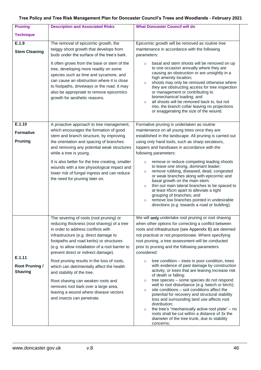| <b>Pruning</b>        | <b>Description and Associated Risks</b>                                                                                                                                                                                                                                                                  | <b>What Doncaster Council will do</b>                                                                                                                                                                                                                                                                                                                                                                                                                                                                           |
|-----------------------|----------------------------------------------------------------------------------------------------------------------------------------------------------------------------------------------------------------------------------------------------------------------------------------------------------|-----------------------------------------------------------------------------------------------------------------------------------------------------------------------------------------------------------------------------------------------------------------------------------------------------------------------------------------------------------------------------------------------------------------------------------------------------------------------------------------------------------------|
| <b>Technique</b>      |                                                                                                                                                                                                                                                                                                          |                                                                                                                                                                                                                                                                                                                                                                                                                                                                                                                 |
| E.1.9                 | The removal of epicormic growth, the                                                                                                                                                                                                                                                                     | Epicormic growth will be removed as routine tree                                                                                                                                                                                                                                                                                                                                                                                                                                                                |
| <b>Stem Cleaning</b>  | twiggy shoot growth that develops from                                                                                                                                                                                                                                                                   | maintenance in accordance with the following                                                                                                                                                                                                                                                                                                                                                                                                                                                                    |
|                       | buds under the surface of the tree's bark.                                                                                                                                                                                                                                                               | parameters:                                                                                                                                                                                                                                                                                                                                                                                                                                                                                                     |
|                       | It often grows from the base or stem of the<br>tree, developing more readily on some<br>species such as lime and sycamore, and<br>can cause an obstruction where it is close<br>to footpaths, driveways or the road. It may<br>also be appropriate to remove epicormics<br>growth for aesthetic reasons. | basal and stem shoots will be removed on up<br>$\circ$<br>to one occasion annually where they are<br>causing an obstruction or are unsightly in a<br>high amenity location;<br>shoots may only be removed otherwise where<br>$\circ$<br>they are obstructing access for tree inspection<br>or management or contributing to<br>biomechanical loading; and<br>all shoots will be removed back to, but not<br>$\circ$<br>into, the branch collar leaving no projections<br>or exaggerating the size of the wound. |
| E.1.10                | A proactive approach to tree management,                                                                                                                                                                                                                                                                 | Formative pruning is undertaken as routine                                                                                                                                                                                                                                                                                                                                                                                                                                                                      |
| <b>Formative</b>      | which encourages the formation of good                                                                                                                                                                                                                                                                   | maintenance on all young trees once they are                                                                                                                                                                                                                                                                                                                                                                                                                                                                    |
|                       | stem and branch structure, by improving                                                                                                                                                                                                                                                                  | established in the landscape. All pruning is carried out                                                                                                                                                                                                                                                                                                                                                                                                                                                        |
| <b>Pruning</b>        | the orientation and spacing of branches                                                                                                                                                                                                                                                                  | using only hand tools, such as sharp secateurs,                                                                                                                                                                                                                                                                                                                                                                                                                                                                 |
|                       | and removing any potential weak structures                                                                                                                                                                                                                                                               | loppers and handsaws in accordance with the                                                                                                                                                                                                                                                                                                                                                                                                                                                                     |
|                       | while a tree is young.                                                                                                                                                                                                                                                                                   | following parameters:                                                                                                                                                                                                                                                                                                                                                                                                                                                                                           |
|                       | It is also better for the tree creating, smaller<br>wounds with a low physiological impact and<br>lower risk of fungal ingress and can reduce<br>the need for pruning later on.                                                                                                                          | remove or reduce competing leading shoots<br>$\circ$<br>to leave one strong, dominant leader;<br>remove rubbing, diseased, dead, congested<br>$\circ$<br>or weak branches along with epicormic and<br>basal growth on the main stem;<br>thin out main lateral branches to be spaced to<br>$\circ$<br>at least 45cm apart to alleviate a tight<br>grouping of branches; and<br>remove low branches pointed in undesirable<br>$\circ$<br>directions (e.g. towards a road or building).                            |
|                       | The severing of roots (root pruning) or                                                                                                                                                                                                                                                                  | We will only undertake root pruning or root shaving                                                                                                                                                                                                                                                                                                                                                                                                                                                             |
|                       | reducing thickness (root shaving) of a tree                                                                                                                                                                                                                                                              | when other options for correcting a conflict between                                                                                                                                                                                                                                                                                                                                                                                                                                                            |
|                       | in order to address conflicts with                                                                                                                                                                                                                                                                       | roots and infrastructure (see Appendix B) are deemed                                                                                                                                                                                                                                                                                                                                                                                                                                                            |
|                       | infrastructure (e.g. direct damage to<br>footpaths and road kerbs) or structures                                                                                                                                                                                                                         | not practical or not proportionate. Where specifying<br>root pruning, a tree assessment will be conducted                                                                                                                                                                                                                                                                                                                                                                                                       |
|                       | (e.g. to allow installation of a root barrier to                                                                                                                                                                                                                                                         | prior to pruning and the following parameters                                                                                                                                                                                                                                                                                                                                                                                                                                                                   |
|                       | prevent direct or indirect damage).                                                                                                                                                                                                                                                                      | considered:                                                                                                                                                                                                                                                                                                                                                                                                                                                                                                     |
| E.1.11                | Root pruning results in the loss of roots,                                                                                                                                                                                                                                                               | tree condition – trees in poor condition, trees                                                                                                                                                                                                                                                                                                                                                                                                                                                                 |
| <b>Root Pruning /</b> | which can detrimentally affect the health                                                                                                                                                                                                                                                                | with evidence of past damage by construction                                                                                                                                                                                                                                                                                                                                                                                                                                                                    |
| <b>Shaving</b>        | and stability of the tree.                                                                                                                                                                                                                                                                               | activity, or trees that are leaning increase risk                                                                                                                                                                                                                                                                                                                                                                                                                                                               |
|                       | Root shaving can weaken roots and                                                                                                                                                                                                                                                                        | of death or falling;<br>tree species - some species do not respond<br>$\circ$                                                                                                                                                                                                                                                                                                                                                                                                                                   |
|                       | removes root bark over a large area,                                                                                                                                                                                                                                                                     | well to root disturbance (e.g. beech or birch);                                                                                                                                                                                                                                                                                                                                                                                                                                                                 |
|                       | leaving a wound where disease vectors                                                                                                                                                                                                                                                                    | site conditions – soil conditions affect the<br>$\circ$<br>potential for recovery and structural stability                                                                                                                                                                                                                                                                                                                                                                                                      |
|                       | and insects can penetrate.                                                                                                                                                                                                                                                                               | loss and surrounding land use affects root                                                                                                                                                                                                                                                                                                                                                                                                                                                                      |
|                       |                                                                                                                                                                                                                                                                                                          | distribution;                                                                                                                                                                                                                                                                                                                                                                                                                                                                                                   |
|                       |                                                                                                                                                                                                                                                                                                          | the tree's "mechanically active root plate" – no<br>$\circ$<br>roots shall be cut within a distance of 3x the                                                                                                                                                                                                                                                                                                                                                                                                   |
|                       |                                                                                                                                                                                                                                                                                                          | diameter of the tree trunk, due to stability                                                                                                                                                                                                                                                                                                                                                                                                                                                                    |
|                       |                                                                                                                                                                                                                                                                                                          | concerns;                                                                                                                                                                                                                                                                                                                                                                                                                                                                                                       |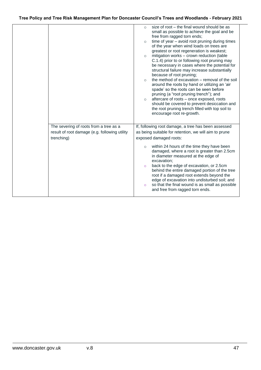|                                               | size of root - the final wound should be as<br>$\circ$<br>small as possible to achieve the goal and be<br>free from ragged torn ends;<br>time of year - avoid root pruning during times<br>$\circ$<br>of the year when wind loads on trees are<br>greatest or root regeneration is weakest;<br>mitigation works - crown reduction (table<br>$\circ$<br>C.1.4) prior to or following root pruning may<br>be necessary in cases where the potential for<br>structural failure may increase substantially<br>because of root pruning;<br>the method of excavation - removal of the soil<br>$\circ$<br>around the roots by hand or utilizing an 'air<br>spade' so the roots can be seen before<br>pruning (a "root pruning trench"); and<br>aftercare of roots - once exposed, roots<br>$\circ$<br>should be covered to prevent desiccation and<br>the root pruning trench filled with top soil to<br>encourage root re-growth. |
|-----------------------------------------------|-----------------------------------------------------------------------------------------------------------------------------------------------------------------------------------------------------------------------------------------------------------------------------------------------------------------------------------------------------------------------------------------------------------------------------------------------------------------------------------------------------------------------------------------------------------------------------------------------------------------------------------------------------------------------------------------------------------------------------------------------------------------------------------------------------------------------------------------------------------------------------------------------------------------------------|
| The severing of roots from a tree as a        | If, following root damage, a tree has been assessed                                                                                                                                                                                                                                                                                                                                                                                                                                                                                                                                                                                                                                                                                                                                                                                                                                                                         |
| result of root damage (e.g. following utility | as being suitable for retention, we will aim to prune                                                                                                                                                                                                                                                                                                                                                                                                                                                                                                                                                                                                                                                                                                                                                                                                                                                                       |
| trenching)                                    | exposed damaged roots:                                                                                                                                                                                                                                                                                                                                                                                                                                                                                                                                                                                                                                                                                                                                                                                                                                                                                                      |
|                                               | within 24 hours of the time they have been<br>$\circ$<br>damaged, where a root is greater than 2.5cm<br>in diameter measured at the edge of<br>excavation;<br>back to the edge of excavation, or 2.5cm<br>$\circ$<br>behind the entire damaged portion of the tree<br>root if a damaged root extends beyond the<br>edge of excavation into undisturbed soil; and<br>so that the final wound is as small as possible<br>$\circ$<br>and free from ragged torn ends.                                                                                                                                                                                                                                                                                                                                                                                                                                                           |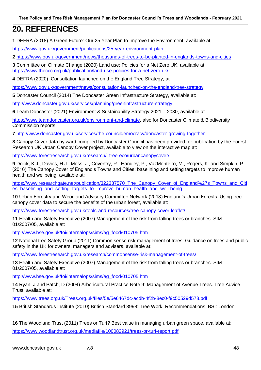## **20. REFERENCES**

**1** DEFRA (2018) A Green Future: Our 25 Year Plan to Improve the Environment, available at

<https://www.gov.uk/government/publications/25-year-environment-plan>

**2** <https://www.gov.uk/government/news/thousands-of-trees-to-be-planted-in-englands-towns-and-cities>

**3** Committee on Climate Change (2020) Land use: Policies for a Net Zero UK, available at <https://www.theccc.org.uk/publication/land-use-policies-for-a-net-zero-uk/>

**4** DEFRA (2020) Consultation launched on the England Tree Strategy, at

<https://www.gov.uk/government/news/consultation-launched-on-the-england-tree-strategy>

**5** Doncaster Council (2014) The Doncaster Green Infrastructure Strategy, available at:

<http://www.doncaster.gov.uk/services/planning/greeninfrastructure-strategy>

**6** Team Doncaster (2021) Environment & Sustainability Strategy 2021 – 2030, available at

[https://www.teamdoncaster.org.uk/environment-and-climate,](https://www.teamdoncaster.org.uk/environment-and-climate) also for Doncaster Climate & Biodiversity Commission reports.

**7** <http://www.doncaster.gov.uk/services/the-councildemocracy/doncaster-growing-together>

**8** Canopy Cover data by ward compiled by Doncaster Council has been provided for publication by the Forest Research UK Urban Canopy Cover project, available to view on the interactive map at:

<https://www.forestresearch.gov.uk/research/i-tree-eco/urbancanopycover/>

**9** Doick, K.J., Davies, H.J., Moss, J., Coventry, R., Handley, P., VazMonteiro, M., Rogers, K. and Simpkin, P. (2016) The Canopy Cover of England's Towns and Cities: baselining and setting targets to improve human health and wellbeing, available at:

[https://www.researchgate.net/publication/322337570\\_The\\_Canopy\\_Cover\\_of\\_England%27s\\_Towns\\_and\\_Citi](https://www.researchgate.net/publication/322337570_The_Canopy_Cover_of_England%27s_Towns_and_Cities_baselining_and_setting_targets_to_improve_human_health_and_well-being) es baselining and setting targets to improve human health and well-being

**10** Urban Forestry and Woodland Advisory Committee Network (2018) England's Urban Forests: Using tree canopy cover data to secure the benefits of the urban forest, available at:

<https://www.forestresearch.gov.uk/tools-and-resources/tree-canopy-cover-leaflet/>

**11** Health and Safety Executive (2007) Management of the risk from falling trees or branches. SIM 01/2007/05, available at:

[http://www.hse.gov.uk/foi/internalops/sims/ag\\_food/010705.htm](http://www.hse.gov.uk/foi/internalops/sims/ag_food/010705.htm)

**12** National tree Safety Group (2011) Common sense risk management of trees: Guidance on trees and public safety in the UK for owners, managers and advisers, available at:

<https://www.forestresearch.gov.uk/research/commonsense-risk-management-of-trees/>

**13** Health and Safety Executive (2007) Management of the risk from falling trees or branches. SIM 01/2007/05, available at:

[http://www.hse.gov.uk/foi/internalops/sims/ag\\_food/010705.htm](http://www.hse.gov.uk/foi/internalops/sims/ag_food/010705.htm)

**14** Ryan, J and Patch, D (2004) Arboricultural Practice Note 9: Management of Avenue Trees. Tree Advice Trust, available at:

<https://www.trees.org.uk/Trees.org.uk/files/5e/5e6467dc-acdb-4f2b-8ec0-f9c50529d578.pdf>

**15** British Standards Institute (2010) British Standard 3998: Tree Work. Recommendations. BSI: London

**16** The Woodland Trust (2011) Trees or Turf? Best value in managing urban green space, available at: <https://www.woodlandtrust.org.uk/mediafile/100083921/trees-or-turf-report.pdf>